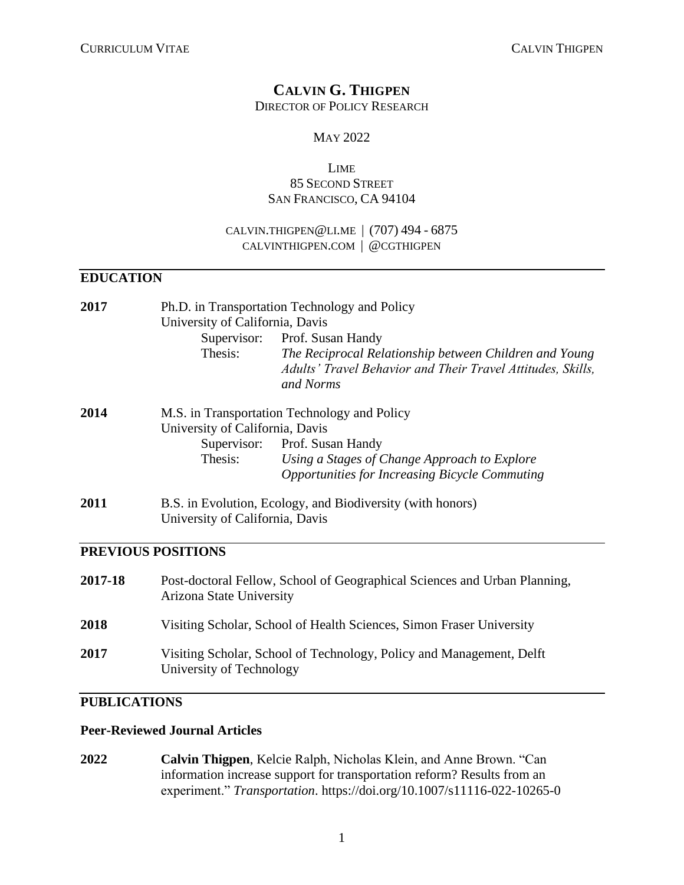# **CALVIN G. THIGPEN**

DIRECTOR OF POLICY RESEARCH

### MAY 2022

### LIME 85 SECOND STREET SAN FRANCISCO, CA 94104

### CALVIN.[THIGPEN](mailto:cthigpen@asu.edu)@LI.ME | (707) 494 - 6875 [CALVINTHIGPEN](http://www.calvinthigpen.com/).COM | @[CGTHIGPEN](https://twitter.com/cgthigpen)

### **EDUCATION**

| 2017 | Ph.D. in Transportation Technology and Policy<br>University of California, Davis |                                                                                                                                    |
|------|----------------------------------------------------------------------------------|------------------------------------------------------------------------------------------------------------------------------------|
|      |                                                                                  | Supervisor: Prof. Susan Handy                                                                                                      |
|      | Thesis:                                                                          | The Reciprocal Relationship between Children and Young<br>Adults' Travel Behavior and Their Travel Attitudes, Skills,<br>and Norms |
| 2014 | M.S. in Transportation Technology and Policy                                     |                                                                                                                                    |
|      | University of California, Davis                                                  |                                                                                                                                    |
|      |                                                                                  | Supervisor: Prof. Susan Handy                                                                                                      |
|      | Thesis:                                                                          | Using a Stages of Change Approach to Explore                                                                                       |
|      |                                                                                  | <b>Opportunities for Increasing Bicycle Commuting</b>                                                                              |
| 2011 | B.S. in Evolution, Ecology, and Biodiversity (with honors)                       |                                                                                                                                    |
|      | University of California, Davis                                                  |                                                                                                                                    |

### **PREVIOUS POSITIONS**

| 2017-18     | Post-doctoral Fellow, School of Geographical Sciences and Urban Planning,<br>Arizona State University |
|-------------|-------------------------------------------------------------------------------------------------------|
| 2018        | Visiting Scholar, School of Health Sciences, Simon Fraser University                                  |
| <b>2017</b> | Visiting Scholar, School of Technology, Policy and Management, Delft<br>University of Technology      |

# **PUBLICATIONS**

### **Peer-Reviewed Journal Articles**

**2022 Calvin Thigpen**, Kelcie Ralph, Nicholas Klein, and Anne Brown. "Can information increase support for transportation reform? Results from an experiment." *Transportation*. <https://doi.org/10.1007/s11116-022-10265-0>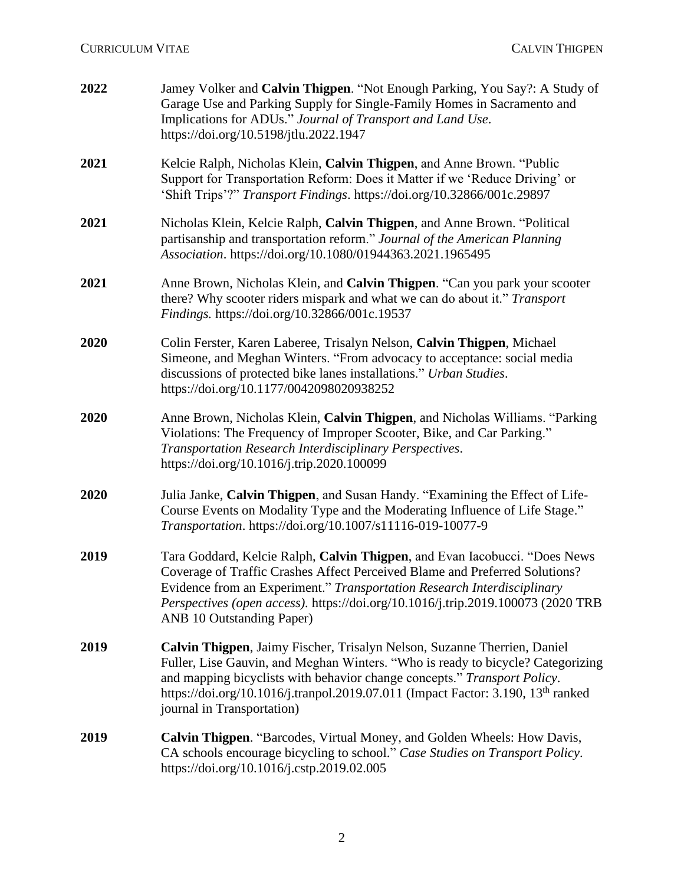| 2022 | Jamey Volker and Calvin Thigpen. "Not Enough Parking, You Say?: A Study of<br>Garage Use and Parking Supply for Single-Family Homes in Sacramento and<br>Implications for ADUs." Journal of Transport and Land Use.<br>https://doi.org/10.5198/jtlu.2022.1947                                                                                                         |
|------|-----------------------------------------------------------------------------------------------------------------------------------------------------------------------------------------------------------------------------------------------------------------------------------------------------------------------------------------------------------------------|
| 2021 | Kelcie Ralph, Nicholas Klein, Calvin Thigpen, and Anne Brown. "Public<br>Support for Transportation Reform: Does it Matter if we 'Reduce Driving' or<br>'Shift Trips'?" Transport Findings. https://doi.org/10.32866/001c.29897                                                                                                                                       |
| 2021 | Nicholas Klein, Kelcie Ralph, Calvin Thigpen, and Anne Brown. "Political<br>partisanship and transportation reform." Journal of the American Planning<br>Association. https://doi.org/10.1080/01944363.2021.1965495                                                                                                                                                   |
| 2021 | Anne Brown, Nicholas Klein, and Calvin Thigpen. "Can you park your scooter<br>there? Why scooter riders mispark and what we can do about it." Transport<br>Findings. https://doi.org/10.32866/001c.19537                                                                                                                                                              |
| 2020 | Colin Ferster, Karen Laberee, Trisalyn Nelson, Calvin Thigpen, Michael<br>Simeone, and Meghan Winters. "From advocacy to acceptance: social media<br>discussions of protected bike lanes installations." Urban Studies.<br>https://doi.org/10.1177/0042098020938252                                                                                                   |
| 2020 | Anne Brown, Nicholas Klein, Calvin Thigpen, and Nicholas Williams. "Parking<br>Violations: The Frequency of Improper Scooter, Bike, and Car Parking."<br>Transportation Research Interdisciplinary Perspectives.<br>https://doi.org/10.1016/j.trip.2020.100099                                                                                                        |
| 2020 | Julia Janke, Calvin Thigpen, and Susan Handy. "Examining the Effect of Life-<br>Course Events on Modality Type and the Moderating Influence of Life Stage."<br>Transportation. https://doi.org/10.1007/s11116-019-10077-9                                                                                                                                             |
| 2019 | Tara Goddard, Kelcie Ralph, Calvin Thigpen, and Evan Iacobucci. "Does News<br>Coverage of Traffic Crashes Affect Perceived Blame and Preferred Solutions?<br>Evidence from an Experiment." Transportation Research Interdisciplinary<br>Perspectives (open access). https://doi.org/10.1016/j.trip.2019.100073 (2020 TRB<br><b>ANB 10 Outstanding Paper)</b>          |
| 2019 | Calvin Thigpen, Jaimy Fischer, Trisalyn Nelson, Suzanne Therrien, Daniel<br>Fuller, Lise Gauvin, and Meghan Winters. "Who is ready to bicycle? Categorizing<br>and mapping bicyclists with behavior change concepts." Transport Policy.<br>https://doi.org/10.1016/j.tranpol.2019.07.011 (Impact Factor: 3.190, 13 <sup>th</sup> ranked<br>journal in Transportation) |
| 2019 | Calvin Thigpen. "Barcodes, Virtual Money, and Golden Wheels: How Davis,<br>CA schools encourage bicycling to school." Case Studies on Transport Policy.<br>https://doi.org/10.1016/j.cstp.2019.02.005                                                                                                                                                                 |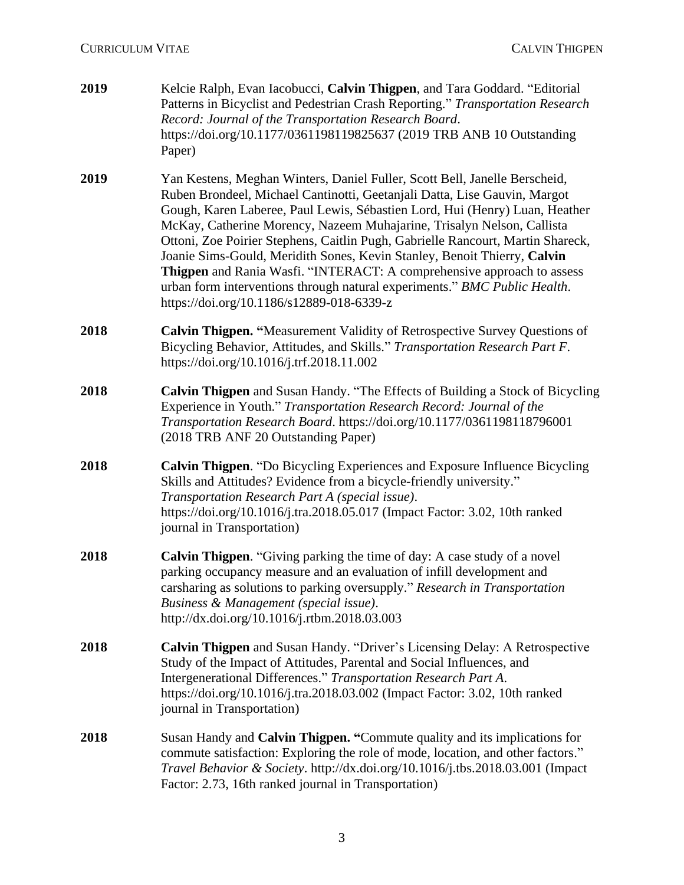| 2019 | Kelcie Ralph, Evan Iacobucci, Calvin Thigpen, and Tara Goddard. "Editorial<br>Patterns in Bicyclist and Pedestrian Crash Reporting." Transportation Research<br>Record: Journal of the Transportation Research Board.<br>https://doi.org/10.1177/0361198119825637 (2019 TRB ANB 10 Outstanding<br>Paper)                                                                                                                                                                                                                                                                                                                                                                            |
|------|-------------------------------------------------------------------------------------------------------------------------------------------------------------------------------------------------------------------------------------------------------------------------------------------------------------------------------------------------------------------------------------------------------------------------------------------------------------------------------------------------------------------------------------------------------------------------------------------------------------------------------------------------------------------------------------|
| 2019 | Yan Kestens, Meghan Winters, Daniel Fuller, Scott Bell, Janelle Berscheid,<br>Ruben Brondeel, Michael Cantinotti, Geetanjali Datta, Lise Gauvin, Margot<br>Gough, Karen Laberee, Paul Lewis, Sébastien Lord, Hui (Henry) Luan, Heather<br>McKay, Catherine Morency, Nazeem Muhajarine, Trisalyn Nelson, Callista<br>Ottoni, Zoe Poirier Stephens, Caitlin Pugh, Gabrielle Rancourt, Martin Shareck,<br>Joanie Sims-Gould, Meridith Sones, Kevin Stanley, Benoit Thierry, Calvin<br>Thigpen and Rania Wasfi. "INTERACT: A comprehensive approach to assess<br>urban form interventions through natural experiments." BMC Public Health.<br>https://doi.org/10.1186/s12889-018-6339-z |
| 2018 | Calvin Thigpen. "Measurement Validity of Retrospective Survey Questions of<br>Bicycling Behavior, Attitudes, and Skills." Transportation Research Part F.<br>https://doi.org/10.1016/j.trf.2018.11.002                                                                                                                                                                                                                                                                                                                                                                                                                                                                              |
| 2018 | Calvin Thigpen and Susan Handy. "The Effects of Building a Stock of Bicycling<br>Experience in Youth." Transportation Research Record: Journal of the<br>Transportation Research Board. https://doi.org/10.1177/0361198118796001<br>(2018 TRB ANF 20 Outstanding Paper)                                                                                                                                                                                                                                                                                                                                                                                                             |
| 2018 | Calvin Thigpen. "Do Bicycling Experiences and Exposure Influence Bicycling<br>Skills and Attitudes? Evidence from a bicycle-friendly university."<br>Transportation Research Part A (special issue).<br>https://doi.org/10.1016/j.tra.2018.05.017 (Impact Factor: 3.02, 10th ranked<br>journal in Transportation)                                                                                                                                                                                                                                                                                                                                                                   |
| 2018 | <b>Calvin Thigpen.</b> "Giving parking the time of day: A case study of a novel<br>parking occupancy measure and an evaluation of infill development and<br>carsharing as solutions to parking oversupply." Research in Transportation<br>Business & Management (special issue).<br>http://dx.doi.org/10.1016/j.rtbm.2018.03.003                                                                                                                                                                                                                                                                                                                                                    |
| 2018 | Calvin Thigpen and Susan Handy. "Driver's Licensing Delay: A Retrospective<br>Study of the Impact of Attitudes, Parental and Social Influences, and<br>Intergenerational Differences." Transportation Research Part A.<br>https://doi.org/10.1016/j.tra.2018.03.002 (Impact Factor: 3.02, 10th ranked<br>journal in Transportation)                                                                                                                                                                                                                                                                                                                                                 |
| 2018 | Susan Handy and Calvin Thigpen. "Commute quality and its implications for<br>commute satisfaction: Exploring the role of mode, location, and other factors."<br>Travel Behavior & Society. http://dx.doi.org/10.1016/j.tbs.2018.03.001 (Impact<br>Factor: 2.73, 16th ranked journal in Transportation)                                                                                                                                                                                                                                                                                                                                                                              |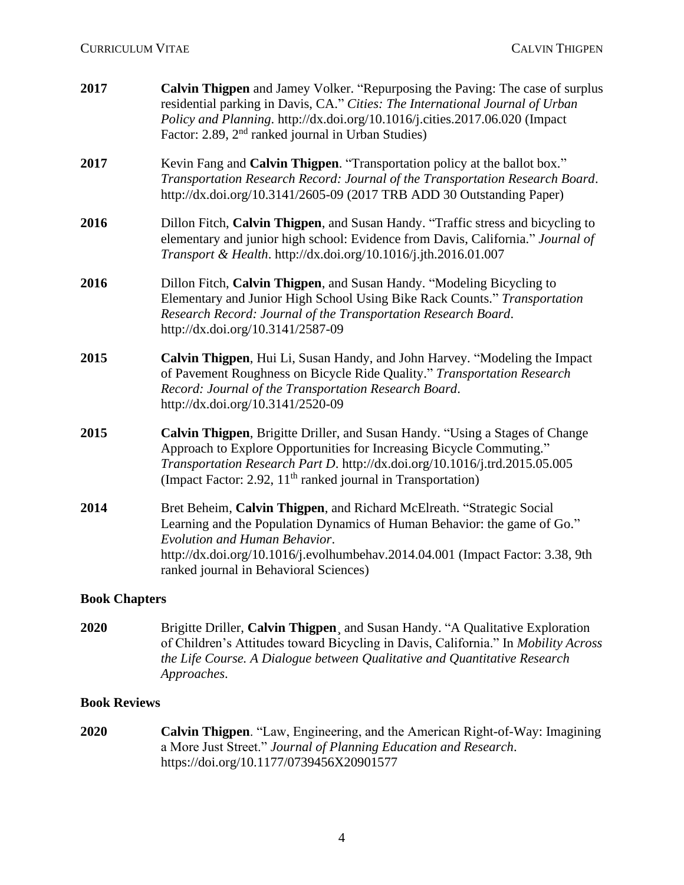| 2017 | <b>Calvin Thigpen</b> and Jamey Volker. "Repurposing the Paving: The case of surplus<br>residential parking in Davis, CA." Cities: The International Journal of Urban<br>Policy and Planning. http://dx.doi.org/10.1016/j.cities.2017.06.020 (Impact<br>Factor: 2.89, 2 <sup>nd</sup> ranked journal in Urban Studies) |
|------|------------------------------------------------------------------------------------------------------------------------------------------------------------------------------------------------------------------------------------------------------------------------------------------------------------------------|
| 2017 | Kevin Fang and Calvin Thigpen. "Transportation policy at the ballot box."<br>Transportation Research Record: Journal of the Transportation Research Board.<br>http://dx.doi.org/10.3141/2605-09 (2017 TRB ADD 30 Outstanding Paper)                                                                                    |
| 2016 | Dillon Fitch, Calvin Thigpen, and Susan Handy. "Traffic stress and bicycling to<br>elementary and junior high school: Evidence from Davis, California." Journal of<br>Transport & Health. http://dx.doi.org/10.1016/j.jth.2016.01.007                                                                                  |
| 2016 | Dillon Fitch, Calvin Thigpen, and Susan Handy. "Modeling Bicycling to<br>Elementary and Junior High School Using Bike Rack Counts." Transportation<br>Research Record: Journal of the Transportation Research Board.<br>http://dx.doi.org/10.3141/2587-09                                                              |
| 2015 | Calvin Thigpen, Hui Li, Susan Handy, and John Harvey. "Modeling the Impact<br>of Pavement Roughness on Bicycle Ride Quality." Transportation Research<br>Record: Journal of the Transportation Research Board.<br>http://dx.doi.org/10.3141/2520-09                                                                    |
| 2015 | Calvin Thigpen, Brigitte Driller, and Susan Handy. "Using a Stages of Change<br>Approach to Explore Opportunities for Increasing Bicycle Commuting."<br>Transportation Research Part D. http://dx.doi.org/10.1016/j.trd.2015.05.005<br>(Impact Factor: 2.92, 11 <sup>th</sup> ranked journal in Transportation)        |
| 2014 | Bret Beheim, Calvin Thigpen, and Richard McElreath. "Strategic Social<br>Learning and the Population Dynamics of Human Behavior: the game of Go."<br>Evolution and Human Behavior.<br>http://dx.doi.org/10.1016/j.evolhumbehav.2014.04.001 (Impact Factor: 3.38, 9th<br>ranked journal in Behavioral Sciences)         |
|      |                                                                                                                                                                                                                                                                                                                        |

### **Book Chapters**

**2020** Brigitte Driller, **Calvin Thigpen**¸ and Susan Handy. "A Qualitative Exploration of Children's Attitudes toward Bicycling in Davis, California." In *Mobility Across the Life Course. A Dialogue between Qualitative and Quantitative Research Approaches*.

### **Book Reviews**

**2020 Calvin Thigpen**. "Law, Engineering, and the American Right-of-Way: Imagining a More Just Street." *Journal of Planning Education and Research*. https://doi.org/10.1177/0739456X20901577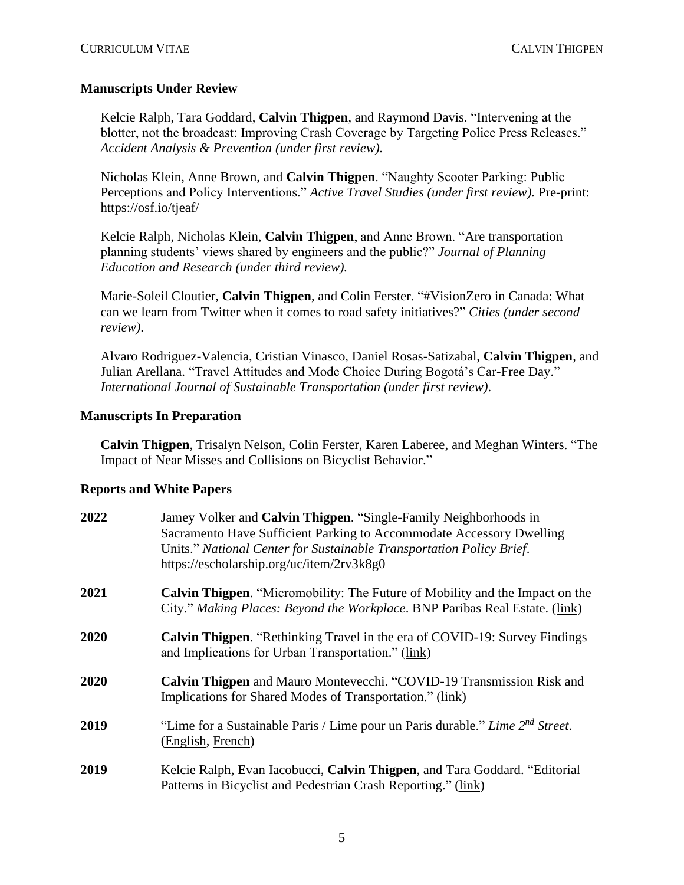### **Manuscripts Under Review**

Kelcie Ralph, Tara Goddard, **Calvin Thigpen**, and Raymond Davis. "Intervening at the blotter, not the broadcast: Improving Crash Coverage by Targeting Police Press Releases." *Accident Analysis & Prevention (under first review).*

Nicholas Klein, Anne Brown, and **Calvin Thigpen**. "Naughty Scooter Parking: Public Perceptions and Policy Interventions." *Active Travel Studies (under first review).* Pre-print: https://osf.io/tjeaf/

Kelcie Ralph, Nicholas Klein, **Calvin Thigpen**, and Anne Brown. "Are transportation planning students' views shared by engineers and the public?" *Journal of Planning Education and Research (under third review).*

Marie-Soleil Cloutier, **Calvin Thigpen**, and Colin Ferster. "#VisionZero in Canada: What can we learn from Twitter when it comes to road safety initiatives?" *Cities (under second review)*.

Alvaro Rodriguez-Valencia, Cristian Vinasco, Daniel Rosas-Satizabal, **Calvin Thigpen**, and Julian Arellana. "Travel Attitudes and Mode Choice During Bogotá's Car-Free Day." *International Journal of Sustainable Transportation (under first review)*.

### **Manuscripts In Preparation**

**Calvin Thigpen**, Trisalyn Nelson, Colin Ferster, Karen Laberee, and Meghan Winters. "The Impact of Near Misses and Collisions on Bicyclist Behavior."

### **Reports and White Papers**

| 2022 | Jamey Volker and Calvin Thigpen. "Single-Family Neighborhoods in<br>Sacramento Have Sufficient Parking to Accommodate Accessory Dwelling<br>Units." National Center for Sustainable Transportation Policy Brief.<br>https://escholarship.org/uc/item/2rv3k8g0 |
|------|---------------------------------------------------------------------------------------------------------------------------------------------------------------------------------------------------------------------------------------------------------------|
| 2021 | <b>Calvin Thigpen.</b> "Micromobility: The Future of Mobility and the Impact on the<br>City." Making Places: Beyond the Workplace. BNP Paribas Real Estate. (link)                                                                                            |
| 2020 | <b>Calvin Thigpen.</b> "Rethinking Travel in the era of COVID-19: Survey Findings<br>and Implications for Urban Transportation." (link)                                                                                                                       |
| 2020 | <b>Calvin Thigpen</b> and Mauro Montevecchi. "COVID-19 Transmission Risk and<br>Implications for Shared Modes of Transportation." (link)                                                                                                                      |
| 2019 | "Lime for a Sustainable Paris / Lime pour un Paris durable." Lime 2 <sup>nd</sup> Street.<br>(English, French)                                                                                                                                                |
| 2019 | Kelcie Ralph, Evan Iacobucci, Calvin Thigpen, and Tara Goddard. "Editorial<br>Patterns in Bicyclist and Pedestrian Crash Reporting." (link)                                                                                                                   |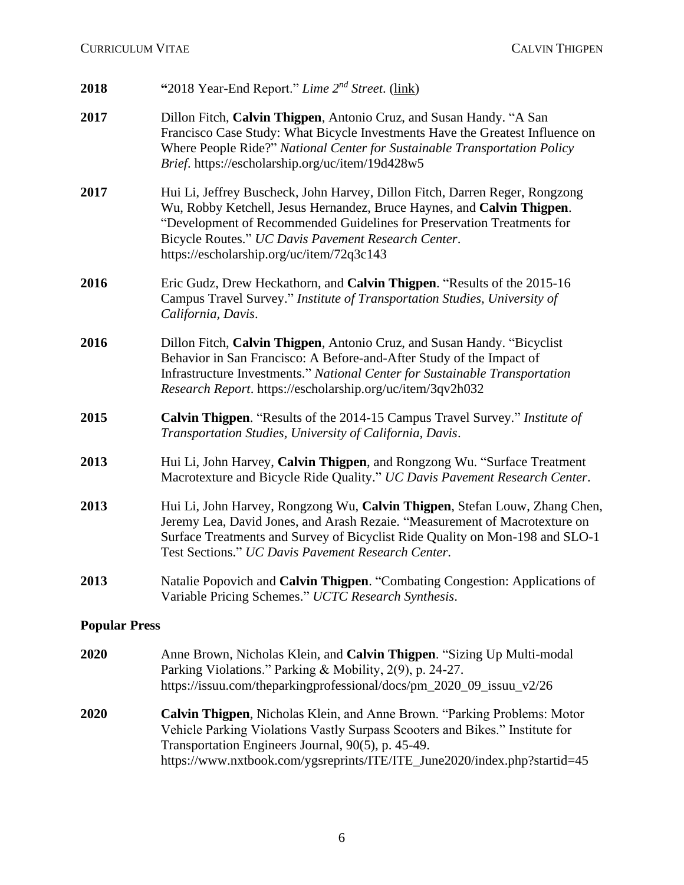# **CURRICULUM VITAE** CALVIN THIGPEN

| 2018                 | "2018 Year-End Report." Lime 2 <sup>nd</sup> Street. (link)"                                                                                                                                                                                                                                                                        |
|----------------------|-------------------------------------------------------------------------------------------------------------------------------------------------------------------------------------------------------------------------------------------------------------------------------------------------------------------------------------|
| 2017                 | Dillon Fitch, Calvin Thigpen, Antonio Cruz, and Susan Handy. "A San<br>Francisco Case Study: What Bicycle Investments Have the Greatest Influence on<br>Where People Ride?" National Center for Sustainable Transportation Policy<br>Brief. https://escholarship.org/uc/item/19d428w5                                               |
| 2017                 | Hui Li, Jeffrey Buscheck, John Harvey, Dillon Fitch, Darren Reger, Rongzong<br>Wu, Robby Ketchell, Jesus Hernandez, Bruce Haynes, and Calvin Thigpen.<br>"Development of Recommended Guidelines for Preservation Treatments for<br>Bicycle Routes." UC Davis Pavement Research Center.<br>https://escholarship.org/uc/item/72q3c143 |
| 2016                 | Eric Gudz, Drew Heckathorn, and Calvin Thigpen. "Results of the 2015-16"<br>Campus Travel Survey." Institute of Transportation Studies, University of<br>California, Davis.                                                                                                                                                         |
| 2016                 | Dillon Fitch, Calvin Thigpen, Antonio Cruz, and Susan Handy. "Bicyclist"<br>Behavior in San Francisco: A Before-and-After Study of the Impact of<br>Infrastructure Investments." National Center for Sustainable Transportation<br>Research Report. https://escholarship.org/uc/item/3qv2h032                                       |
| 2015                 | <b>Calvin Thigpen.</b> "Results of the 2014-15 Campus Travel Survey." <i>Institute of</i><br>Transportation Studies, University of California, Davis.                                                                                                                                                                               |
| 2013                 | Hui Li, John Harvey, Calvin Thigpen, and Rongzong Wu. "Surface Treatment<br>Macrotexture and Bicycle Ride Quality." UC Davis Pavement Research Center.                                                                                                                                                                              |
| 2013                 | Hui Li, John Harvey, Rongzong Wu, Calvin Thigpen, Stefan Louw, Zhang Chen,<br>Jeremy Lea, David Jones, and Arash Rezaie. "Measurement of Macrotexture on<br>Surface Treatments and Survey of Bicyclist Ride Quality on Mon-198 and SLO-1<br>Test Sections." UC Davis Pavement Research Center.                                      |
| 2013                 | Natalie Popovich and Calvin Thigpen. "Combating Congestion: Applications of<br>Variable Pricing Schemes." UCTC Research Synthesis.                                                                                                                                                                                                  |
| <b>Popular Press</b> |                                                                                                                                                                                                                                                                                                                                     |
| 2020                 | Anne Brown, Nicholas Klein, and Calvin Thigpen. "Sizing Up Multi-modal<br>Parking Violations." Parking & Mobility, 2(9), p. 24-27.<br>https://issuu.com/theparkingprofessional/docs/pm_2020_09_issuu_v2/26                                                                                                                          |
| 2020                 | Calvin Thigpen, Nicholas Klein, and Anne Brown. "Parking Problems: Motor<br>Vehicle Parking Violations Vastly Surpass Scooters and Bikes." Institute for<br>Transportation Engineers Journal, 90(5), p. 45-49.<br>https://www.nxtbook.com/ygsreprints/ITE/ITE_June2020/index.php?startid=45                                         |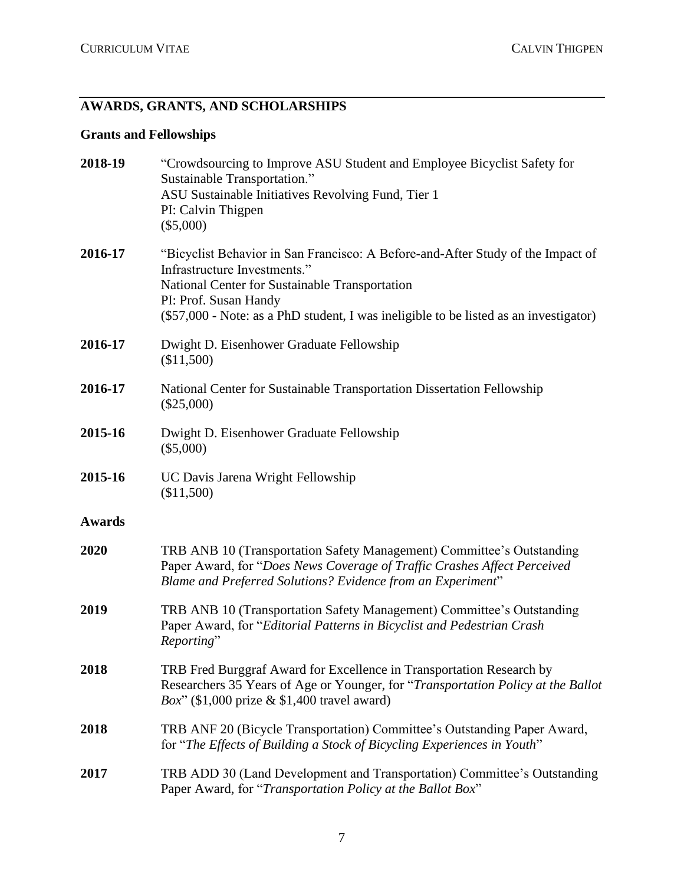# **AWARDS, GRANTS, AND SCHOLARSHIPS**

# **Grants and Fellowships**

| 2018-19       | "Crowdsourcing to Improve ASU Student and Employee Bicyclist Safety for<br>Sustainable Transportation."<br>ASU Sustainable Initiatives Revolving Fund, Tier 1<br>PI: Calvin Thigpen<br>$(\$5,000)$                                                                                  |
|---------------|-------------------------------------------------------------------------------------------------------------------------------------------------------------------------------------------------------------------------------------------------------------------------------------|
| 2016-17       | "Bicyclist Behavior in San Francisco: A Before-and-After Study of the Impact of<br>Infrastructure Investments."<br>National Center for Sustainable Transportation<br>PI: Prof. Susan Handy<br>(\$57,000 - Note: as a PhD student, I was ineligible to be listed as an investigator) |
| 2016-17       | Dwight D. Eisenhower Graduate Fellowship<br>(\$11,500)                                                                                                                                                                                                                              |
| 2016-17       | National Center for Sustainable Transportation Dissertation Fellowship<br>$(\$25,000)$                                                                                                                                                                                              |
| 2015-16       | Dwight D. Eisenhower Graduate Fellowship<br>$(\$5,000)$                                                                                                                                                                                                                             |
| 2015-16       | UC Davis Jarena Wright Fellowship<br>(\$11,500)                                                                                                                                                                                                                                     |
| <b>Awards</b> |                                                                                                                                                                                                                                                                                     |
| 2020          | TRB ANB 10 (Transportation Safety Management) Committee's Outstanding<br>Paper Award, for "Does News Coverage of Traffic Crashes Affect Perceived<br>Blame and Preferred Solutions? Evidence from an Experiment"                                                                    |
| 2019          | TRB ANB 10 (Transportation Safety Management) Committee's Outstanding<br>Paper Award, for "Editorial Patterns in Bicyclist and Pedestrian Crash<br>Reporting"                                                                                                                       |
| 2018          | TRB Fred Burggraf Award for Excellence in Transportation Research by<br>Researchers 35 Years of Age or Younger, for "Transportation Policy at the Ballot<br>Box" (\$1,000 prize $&$ \$1,400 travel award)                                                                           |
| 2018          | TRB ANF 20 (Bicycle Transportation) Committee's Outstanding Paper Award,<br>for "The Effects of Building a Stock of Bicycling Experiences in Youth"                                                                                                                                 |
| 2017          | TRB ADD 30 (Land Development and Transportation) Committee's Outstanding<br>Paper Award, for "Transportation Policy at the Ballot Box"                                                                                                                                              |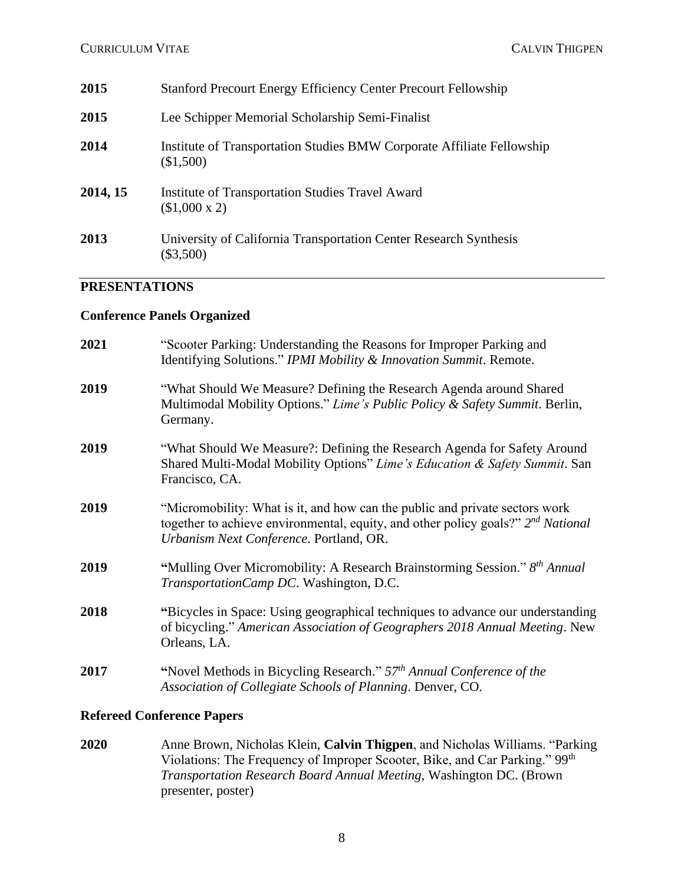| 2015     | <b>Stanford Precourt Energy Efficiency Center Precourt Fellowship</b>               |
|----------|-------------------------------------------------------------------------------------|
| 2015     | Lee Schipper Memorial Scholarship Semi-Finalist                                     |
| 2014     | Institute of Transportation Studies BMW Corporate Affiliate Fellowship<br>(\$1,500) |
| 2014, 15 | <b>Institute of Transportation Studies Travel Award</b><br>$($1,000 \times 2)$      |
| 2013     | University of California Transportation Center Research Synthesis<br>$(\$3,500)$    |

### **PRESENTATIONS**

### **Conference Panels Organized**

| 2021 | "Scooter Parking: Understanding the Reasons for Improper Parking and<br>Identifying Solutions." IPMI Mobility & Innovation Summit. Remote.                                                                      |
|------|-----------------------------------------------------------------------------------------------------------------------------------------------------------------------------------------------------------------|
| 2019 | "What Should We Measure? Defining the Research Agenda around Shared<br>Multimodal Mobility Options." Lime's Public Policy & Safety Summit. Berlin,<br>Germany.                                                  |
| 2019 | "What Should We Measure?: Defining the Research Agenda for Safety Around<br>Shared Multi-Modal Mobility Options" Lime's Education & Safety Summit. San<br>Francisco, CA.                                        |
| 2019 | "Micromobility: What is it, and how can the public and private sectors work<br>together to achieve environmental, equity, and other policy goals?" $2^{nd}$ National<br>Urbanism Next Conference. Portland, OR. |
| 2019 | "Mulling Over Micromobility: A Research Brainstorming Session." 8th Annual<br>TransportationCamp DC. Washington, D.C.                                                                                           |
| 2018 | "Bicycles in Space: Using geographical techniques to advance our understanding<br>of bicycling." American Association of Geographers 2018 Annual Meeting. New<br>Orleans, LA.                                   |
| 2017 | "Novel Methods in Bicycling Research." $57th$ Annual Conference of the<br>Association of Collegiate Schools of Planning. Denver, CO.                                                                            |

# **Refereed Conference Papers**

**2020** Anne Brown, Nicholas Klein, **Calvin Thigpen**, and Nicholas Williams. "Parking Violations: The Frequency of Improper Scooter, Bike, and Car Parking." 99<sup>th</sup> *Transportation Research Board Annual Meeting,* Washington DC. (Brown presenter, poster)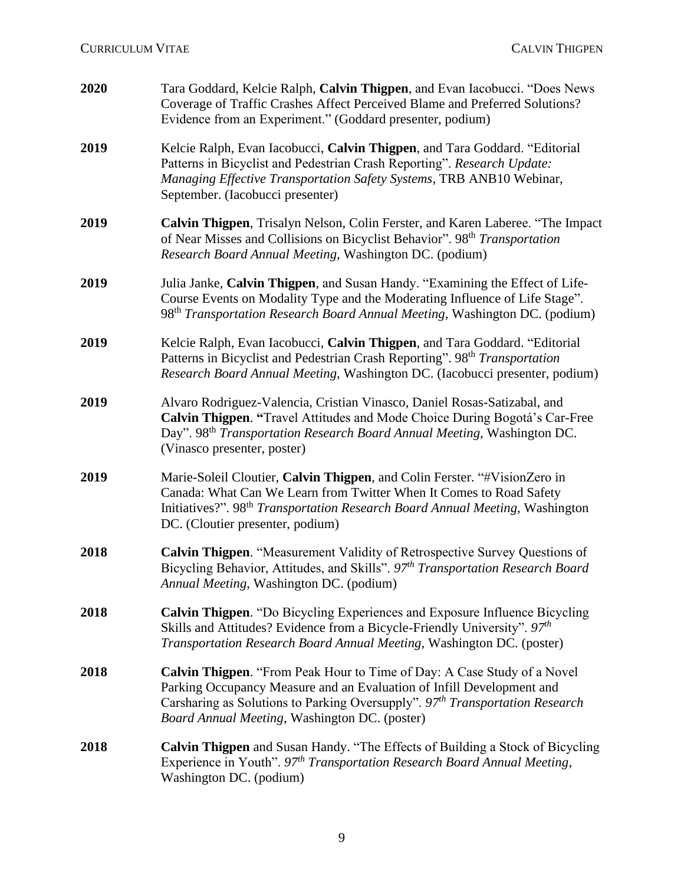| 2020 | Tara Goddard, Kelcie Ralph, Calvin Thigpen, and Evan Iacobucci. "Does News<br>Coverage of Traffic Crashes Affect Perceived Blame and Preferred Solutions?<br>Evidence from an Experiment." (Goddard presenter, podium)                                                              |
|------|-------------------------------------------------------------------------------------------------------------------------------------------------------------------------------------------------------------------------------------------------------------------------------------|
| 2019 | Kelcie Ralph, Evan Iacobucci, Calvin Thigpen, and Tara Goddard. "Editorial<br>Patterns in Bicyclist and Pedestrian Crash Reporting". Research Update:<br>Managing Effective Transportation Safety Systems, TRB ANB10 Webinar,<br>September. (Iacobucci presenter)                   |
| 2019 | Calvin Thigpen, Trisalyn Nelson, Colin Ferster, and Karen Laberee. "The Impact<br>of Near Misses and Collisions on Bicyclist Behavior". 98 <sup>th</sup> Transportation<br>Research Board Annual Meeting, Washington DC. (podium)                                                   |
| 2019 | Julia Janke, Calvin Thigpen, and Susan Handy. "Examining the Effect of Life-<br>Course Events on Modality Type and the Moderating Influence of Life Stage".<br>98 <sup>th</sup> Transportation Research Board Annual Meeting, Washington DC. (podium)                               |
| 2019 | Kelcie Ralph, Evan Iacobucci, Calvin Thigpen, and Tara Goddard. "Editorial<br>Patterns in Bicyclist and Pedestrian Crash Reporting". 98 <sup>th</sup> Transportation<br>Research Board Annual Meeting, Washington DC. (Iacobucci presenter, podium)                                 |
| 2019 | Alvaro Rodriguez-Valencia, Cristian Vinasco, Daniel Rosas-Satizabal, and<br>Calvin Thigpen. "Travel Attitudes and Mode Choice During Bogotá's Car-Free<br>Day". 98 <sup>th</sup> Transportation Research Board Annual Meeting, Washington DC.<br>(Vinasco presenter, poster)        |
| 2019 | Marie-Soleil Cloutier, Calvin Thigpen, and Colin Ferster. "#VisionZero in<br>Canada: What Can We Learn from Twitter When It Comes to Road Safety<br>Initiatives?". 98 <sup>th</sup> Transportation Research Board Annual Meeting, Washington<br>DC. (Cloutier presenter, podium)    |
| 2018 | Calvin Thigpen. "Measurement Validity of Retrospective Survey Questions of<br>Bicycling Behavior, Attitudes, and Skills". 97th Transportation Research Board<br>Annual Meeting, Washington DC. (podium)                                                                             |
| 2018 | <b>Calvin Thigpen.</b> "Do Bicycling Experiences and Exposure Influence Bicycling<br>Skills and Attitudes? Evidence from a Bicycle-Friendly University". 97th<br>Transportation Research Board Annual Meeting, Washington DC. (poster)                                              |
| 2018 | Calvin Thigpen. "From Peak Hour to Time of Day: A Case Study of a Novel<br>Parking Occupancy Measure and an Evaluation of Infill Development and<br>Carsharing as Solutions to Parking Oversupply". $97th Transformation Research$<br>Board Annual Meeting, Washington DC. (poster) |
| 2018 | Calvin Thigpen and Susan Handy. "The Effects of Building a Stock of Bicycling<br>Experience in Youth". 97 <sup>th</sup> Transportation Research Board Annual Meeting,<br>Washington DC. (podium)                                                                                    |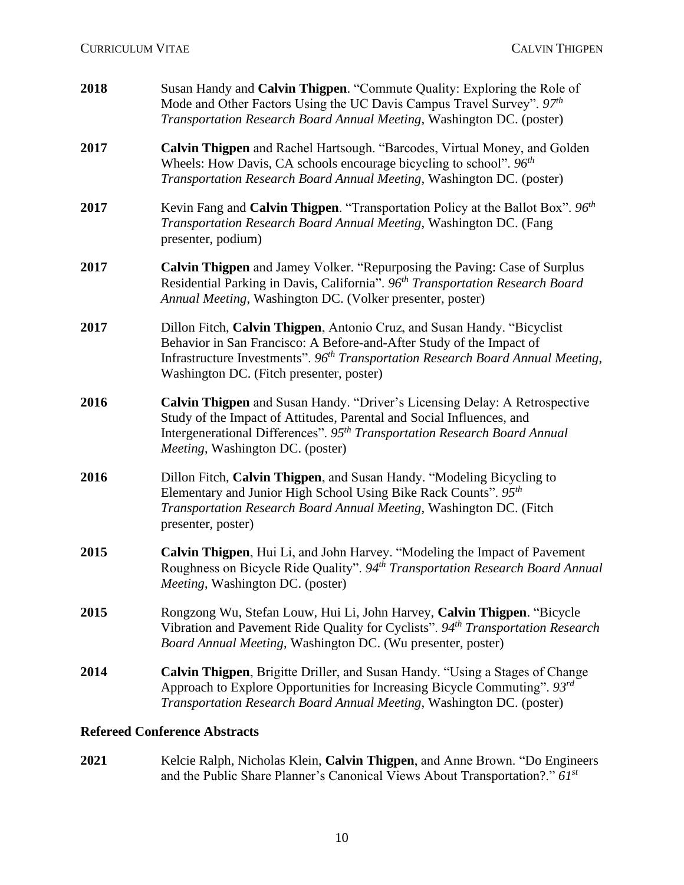| 2018 | Susan Handy and Calvin Thigpen. "Commute Quality: Exploring the Role of<br>Mode and Other Factors Using the UC Davis Campus Travel Survey". $97th$<br>Transportation Research Board Annual Meeting, Washington DC. (poster)                                                                |
|------|--------------------------------------------------------------------------------------------------------------------------------------------------------------------------------------------------------------------------------------------------------------------------------------------|
| 2017 | Calvin Thigpen and Rachel Hartsough. "Barcodes, Virtual Money, and Golden<br>Wheels: How Davis, CA schools encourage bicycling to school". $96th$<br>Transportation Research Board Annual Meeting, Washington DC. (poster)                                                                 |
| 2017 | Kevin Fang and Calvin Thigpen. "Transportation Policy at the Ballot Box". $96th$<br>Transportation Research Board Annual Meeting, Washington DC. (Fang<br>presenter, podium)                                                                                                               |
| 2017 | Calvin Thigpen and Jamey Volker. "Repurposing the Paving: Case of Surplus<br>Residential Parking in Davis, California". 96 <sup>th</sup> Transportation Research Board<br>Annual Meeting, Washington DC. (Volker presenter, poster)                                                        |
| 2017 | Dillon Fitch, Calvin Thigpen, Antonio Cruz, and Susan Handy. "Bicyclist<br>Behavior in San Francisco: A Before-and-After Study of the Impact of<br>Infrastructure Investments". 96 <sup>th</sup> Transportation Research Board Annual Meeting,<br>Washington DC. (Fitch presenter, poster) |
| 2016 | Calvin Thigpen and Susan Handy. "Driver's Licensing Delay: A Retrospective<br>Study of the Impact of Attitudes, Parental and Social Influences, and<br>Intergenerational Differences". 95 <sup>th</sup> Transportation Research Board Annual<br>Meeting, Washington DC. (poster)           |
| 2016 | Dillon Fitch, Calvin Thigpen, and Susan Handy. "Modeling Bicycling to<br>Elementary and Junior High School Using Bike Rack Counts". $95th$<br>Transportation Research Board Annual Meeting, Washington DC. (Fitch<br>presenter, poster)                                                    |
| 2015 | Calvin Thigpen, Hui Li, and John Harvey. "Modeling the Impact of Pavement<br>Roughness on Bicycle Ride Quality". 94 <sup>th</sup> Transportation Research Board Annual<br>Meeting, Washington DC. (poster)                                                                                 |
| 2015 | Rongzong Wu, Stefan Louw, Hui Li, John Harvey, Calvin Thigpen. "Bicycle<br>Vibration and Pavement Ride Quality for Cyclists". 94 <sup>th</sup> Transportation Research<br>Board Annual Meeting, Washington DC. (Wu presenter, poster)                                                      |
| 2014 | <b>Calvin Thigpen</b> , Brigitte Driller, and Susan Handy. "Using a Stages of Change<br>Approach to Explore Opportunities for Increasing Bicycle Commuting". 93rd<br>Transportation Research Board Annual Meeting, Washington DC. (poster)                                                 |
|      |                                                                                                                                                                                                                                                                                            |

### **Refereed Conference Abstracts**

**2021** Kelcie Ralph, Nicholas Klein, **Calvin Thigpen**, and Anne Brown. "Do Engineers and the Public Share Planner's Canonical Views About Transportation?." *61st*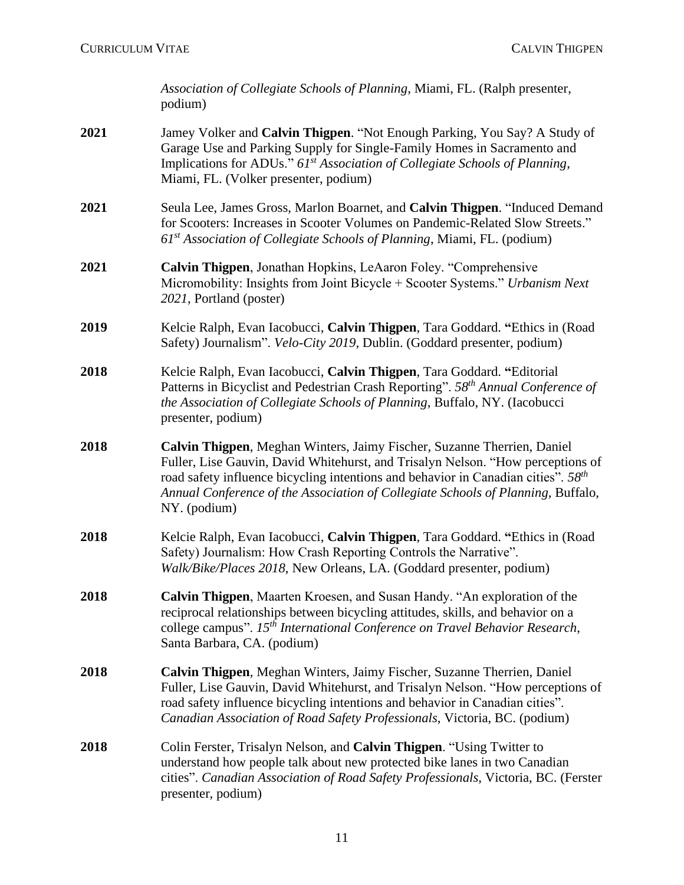*Association of Collegiate Schools of Planning*, Miami, FL. (Ralph presenter, podium)

- **2021** Jamey Volker and **Calvin Thigpen**. "Not Enough Parking, You Say? A Study of Garage Use and Parking Supply for Single-Family Homes in Sacramento and Implications for ADUs." *61st Association of Collegiate Schools of Planning*, Miami, FL. (Volker presenter, podium)
- **2021** Seula Lee, James Gross, Marlon Boarnet, and **Calvin Thigpen**. "Induced Demand for Scooters: Increases in Scooter Volumes on Pandemic-Related Slow Streets." *61st Association of Collegiate Schools of Planning*, Miami, FL. (podium)
- **2021 Calvin Thigpen**, Jonathan Hopkins, LeAaron Foley. "Comprehensive Micromobility: Insights from Joint Bicycle + Scooter Systems." *Urbanism Next 2021*, Portland (poster)
- **2019** Kelcie Ralph, Evan Iacobucci, **Calvin Thigpen**, Tara Goddard. **"**Ethics in (Road Safety) Journalism". *Velo-City 2019*, Dublin. (Goddard presenter, podium)
- **2018** Kelcie Ralph, Evan Iacobucci, **Calvin Thigpen**, Tara Goddard. **"**Editorial Patterns in Bicyclist and Pedestrian Crash Reporting". *58 th Annual Conference of the Association of Collegiate Schools of Planning*, Buffalo, NY. (Iacobucci presenter, podium)
- **2018 Calvin Thigpen**, Meghan Winters, Jaimy Fischer, Suzanne Therrien, Daniel Fuller, Lise Gauvin, David Whitehurst, and Trisalyn Nelson. "How perceptions of road safety influence bicycling intentions and behavior in Canadian cities". 58<sup>th</sup> *Annual Conference of the Association of Collegiate Schools of Planning*, Buffalo, NY. (podium)
- **2018** Kelcie Ralph, Evan Iacobucci, **Calvin Thigpen**, Tara Goddard. **"**Ethics in (Road Safety) Journalism: How Crash Reporting Controls the Narrative". *Walk/Bike/Places 2018*, New Orleans, LA. (Goddard presenter, podium)
- **2018 Calvin Thigpen**, Maarten Kroesen, and Susan Handy. "An exploration of the reciprocal relationships between bicycling attitudes, skills, and behavior on a college campus". *15th International Conference on Travel Behavior Research*, Santa Barbara, CA. (podium)
- **2018 Calvin Thigpen**, Meghan Winters, Jaimy Fischer, Suzanne Therrien, Daniel Fuller, Lise Gauvin, David Whitehurst, and Trisalyn Nelson. "How perceptions of road safety influence bicycling intentions and behavior in Canadian cities". *Canadian Association of Road Safety Professionals*, Victoria, BC. (podium)
- **2018** Colin Ferster, Trisalyn Nelson, and **Calvin Thigpen**. "Using Twitter to understand how people talk about new protected bike lanes in two Canadian cities". *Canadian Association of Road Safety Professionals*, Victoria, BC. (Ferster presenter, podium)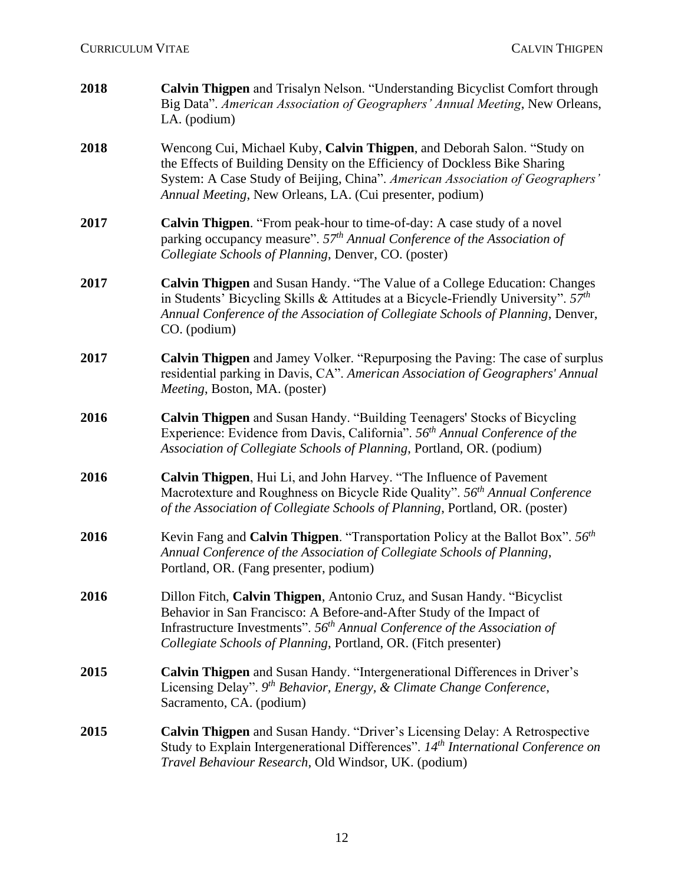| 2018 | Calvin Thigpen and Trisalyn Nelson. "Understanding Bicyclist Comfort through<br>Big Data". American Association of Geographers' Annual Meeting, New Orleans,<br>LA. (podium)                                                                                                                       |
|------|----------------------------------------------------------------------------------------------------------------------------------------------------------------------------------------------------------------------------------------------------------------------------------------------------|
| 2018 | Wencong Cui, Michael Kuby, Calvin Thigpen, and Deborah Salon. "Study on<br>the Effects of Building Density on the Efficiency of Dockless Bike Sharing<br>System: A Case Study of Beijing, China". American Association of Geographers'<br>Annual Meeting, New Orleans, LA. (Cui presenter, podium) |
| 2017 | Calvin Thigpen. "From peak-hour to time-of-day: A case study of a novel<br>parking occupancy measure". 57 <sup>th</sup> Annual Conference of the Association of<br>Collegiate Schools of Planning, Denver, CO. (poster)                                                                            |
| 2017 | <b>Calvin Thigpen</b> and Susan Handy. "The Value of a College Education: Changes<br>in Students' Bicycling Skills & Attitudes at a Bicycle-Friendly University". $57th$<br>Annual Conference of the Association of Collegiate Schools of Planning, Denver,<br>CO. (podium)                        |
| 2017 | Calvin Thigpen and Jamey Volker. "Repurposing the Paving: The case of surplus<br>residential parking in Davis, CA". American Association of Geographers' Annual<br>Meeting, Boston, MA. (poster)                                                                                                   |
| 2016 | Calvin Thigpen and Susan Handy. "Building Teenagers' Stocks of Bicycling<br>Experience: Evidence from Davis, California". 56 <sup>th</sup> Annual Conference of the<br>Association of Collegiate Schools of Planning, Portland, OR. (podium)                                                       |
| 2016 | Calvin Thigpen, Hui Li, and John Harvey. "The Influence of Pavement<br>Macrotexture and Roughness on Bicycle Ride Quality". 56 <sup>th</sup> Annual Conference<br>of the Association of Collegiate Schools of Planning, Portland, OR. (poster)                                                     |
| 2016 | Kevin Fang and Calvin Thigpen. "Transportation Policy at the Ballot Box". $56th$<br>Annual Conference of the Association of Collegiate Schools of Planning,<br>Portland, OR. (Fang presenter, podium)                                                                                              |
| 2016 | Dillon Fitch, Calvin Thigpen, Antonio Cruz, and Susan Handy. "Bicyclist"<br>Behavior in San Francisco: A Before-and-After Study of the Impact of<br>Infrastructure Investments". $56th$ Annual Conference of the Association of<br>Collegiate Schools of Planning, Portland, OR. (Fitch presenter) |
| 2015 | Calvin Thigpen and Susan Handy. "Intergenerational Differences in Driver's<br>Licensing Delay". 9th Behavior, Energy, & Climate Change Conference,<br>Sacramento, CA. (podium)                                                                                                                     |
| 2015 | <b>Calvin Thigpen</b> and Susan Handy. "Driver's Licensing Delay: A Retrospective<br>Study to Explain Intergenerational Differences". 14th International Conference on<br>Travel Behaviour Research, Old Windsor, UK. (podium)                                                                     |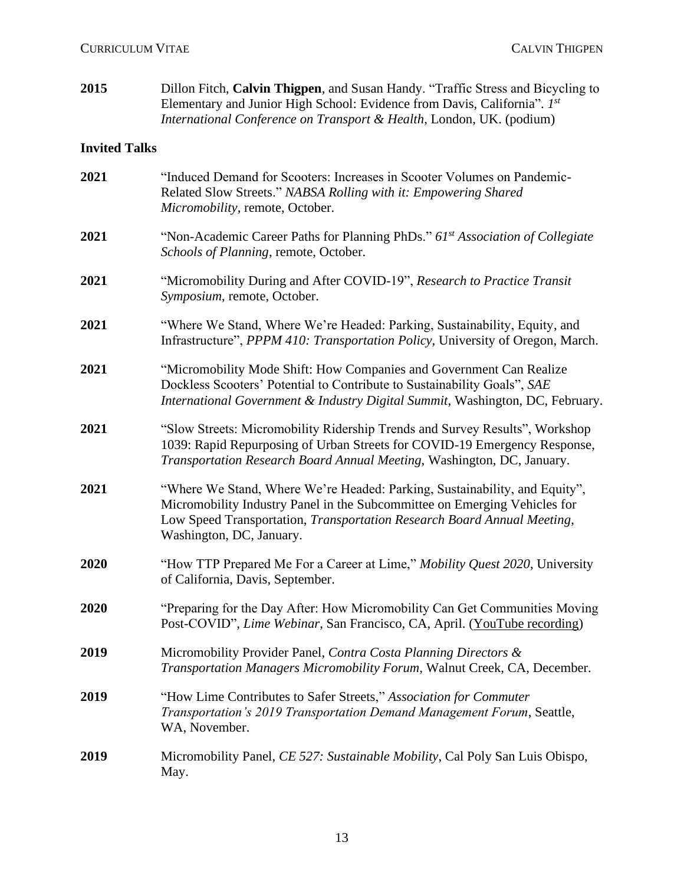| 2015                 | Dillon Fitch, Calvin Thigpen, and Susan Handy. "Traffic Stress and Bicycling to<br>Elementary and Junior High School: Evidence from Davis, California". 1st<br>International Conference on Transport & Health, London, UK. (podium)                            |
|----------------------|----------------------------------------------------------------------------------------------------------------------------------------------------------------------------------------------------------------------------------------------------------------|
| <b>Invited Talks</b> |                                                                                                                                                                                                                                                                |
| 2021                 | "Induced Demand for Scooters: Increases in Scooter Volumes on Pandemic-<br>Related Slow Streets." NABSA Rolling with it: Empowering Shared<br>Micromobility, remote, October.                                                                                  |
| 2021                 | "Non-Academic Career Paths for Planning PhDs." 61 <sup>st</sup> Association of Collegiate<br>Schools of Planning, remote, October.                                                                                                                             |
| 2021                 | "Micromobility During and After COVID-19", Research to Practice Transit<br>Symposium, remote, October.                                                                                                                                                         |
| 2021                 | "Where We Stand, Where We're Headed: Parking, Sustainability, Equity, and<br>Infrastructure", PPPM 410: Transportation Policy, University of Oregon, March.                                                                                                    |
| 2021                 | "Micromobility Mode Shift: How Companies and Government Can Realize<br>Dockless Scooters' Potential to Contribute to Sustainability Goals", SAE<br>International Government & Industry Digital Summit, Washington, DC, February.                               |
| 2021                 | "Slow Streets: Micromobility Ridership Trends and Survey Results", Workshop<br>1039: Rapid Repurposing of Urban Streets for COVID-19 Emergency Response,<br>Transportation Research Board Annual Meeting, Washington, DC, January.                             |
| 2021                 | "Where We Stand, Where We're Headed: Parking, Sustainability, and Equity",<br>Micromobility Industry Panel in the Subcommittee on Emerging Vehicles for<br>Low Speed Transportation, Transportation Research Board Annual Meeting,<br>Washington, DC, January. |
| 2020                 | "How TTP Prepared Me For a Career at Lime," Mobility Quest 2020, University<br>of California, Davis, September.                                                                                                                                                |
| <b>2020</b>          | "Preparing for the Day After: How Micromobility Can Get Communities Moving<br>Post-COVID", Lime Webinar, San Francisco, CA, April. (YouTube recording)                                                                                                         |
| 2019                 | Micromobility Provider Panel, Contra Costa Planning Directors &<br>Transportation Managers Micromobility Forum, Walnut Creek, CA, December.                                                                                                                    |
| 2019                 | "How Lime Contributes to Safer Streets," Association for Commuter<br>Transportation's 2019 Transportation Demand Management Forum, Seattle,<br>WA, November.                                                                                                   |
| 2019                 | Micromobility Panel, CE 527: Sustainable Mobility, Cal Poly San Luis Obispo,<br>May.                                                                                                                                                                           |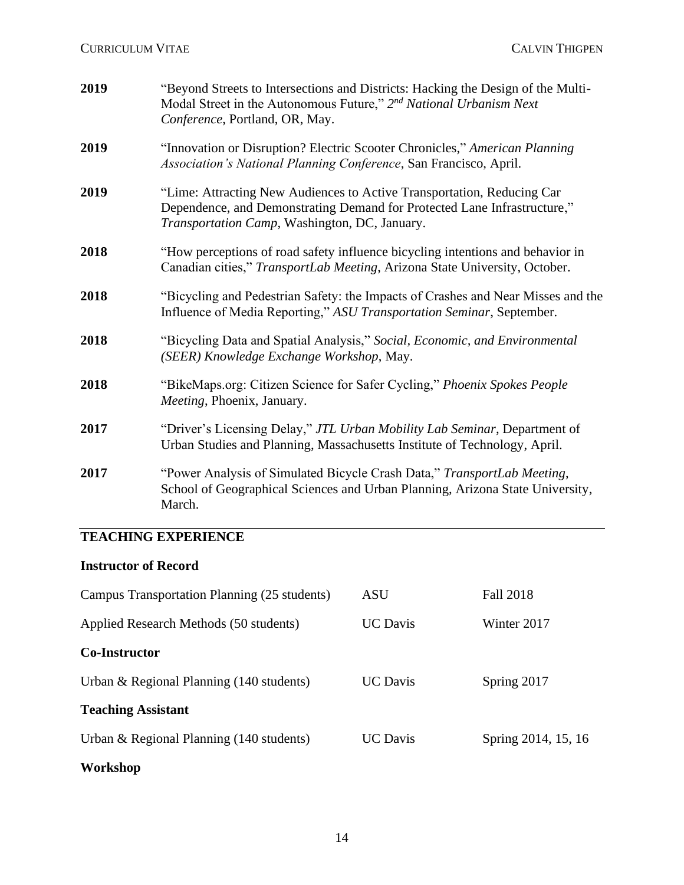| 2019 | "Beyond Streets to Intersections and Districts: Hacking the Design of the Multi-<br>Modal Street in the Autonomous Future," $2^{nd}$ National Urbanism Next<br>Conference, Portland, OR, May.       |
|------|-----------------------------------------------------------------------------------------------------------------------------------------------------------------------------------------------------|
| 2019 | "Innovation or Disruption? Electric Scooter Chronicles," American Planning<br>Association's National Planning Conference, San Francisco, April.                                                     |
| 2019 | "Lime: Attracting New Audiences to Active Transportation, Reducing Car<br>Dependence, and Demonstrating Demand for Protected Lane Infrastructure,"<br>Transportation Camp, Washington, DC, January. |
| 2018 | "How perceptions of road safety influence bicycling intentions and behavior in<br>Canadian cities," TransportLab Meeting, Arizona State University, October.                                        |
| 2018 | "Bicycling and Pedestrian Safety: the Impacts of Crashes and Near Misses and the<br>Influence of Media Reporting," ASU Transportation Seminar, September.                                           |
| 2018 | "Bicycling Data and Spatial Analysis," Social, Economic, and Environmental<br>(SEER) Knowledge Exchange Workshop, May.                                                                              |
| 2018 | "BikeMaps.org: Citizen Science for Safer Cycling," Phoenix Spokes People<br>Meeting, Phoenix, January.                                                                                              |
| 2017 | "Driver's Licensing Delay," JTL Urban Mobility Lab Seminar, Department of<br>Urban Studies and Planning, Massachusetts Institute of Technology, April.                                              |
| 2017 | "Power Analysis of Simulated Bicycle Crash Data," TransportLab Meeting,<br>School of Geographical Sciences and Urban Planning, Arizona State University,<br>March.                                  |

# **TEACHING EXPERIENCE**

### **Instructor of Record**

| Campus Transportation Planning (25 students)       | ASU             | <b>Fall 2018</b>    |
|----------------------------------------------------|-----------------|---------------------|
| Applied Research Methods (50 students)             | <b>UC</b> Davis | Winter 2017         |
| <b>Co-Instructor</b>                               |                 |                     |
| Urban & Regional Planning $(140 \text{ students})$ | <b>UC</b> Davis | Spring 2017         |
| <b>Teaching Assistant</b>                          |                 |                     |
| Urban & Regional Planning $(140$ students)         | <b>UC</b> Davis | Spring 2014, 15, 16 |
| Workshop                                           |                 |                     |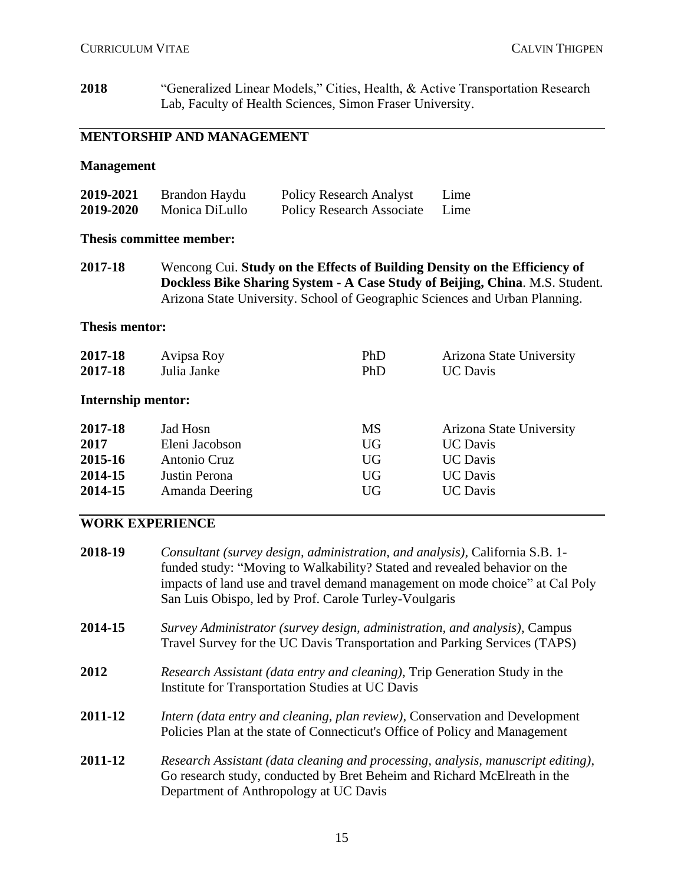**2018** "Generalized Linear Models," Cities, Health, & Active Transportation Research Lab, Faculty of Health Sciences, Simon Fraser University.

### **MENTORSHIP AND MANAGEMENT**

### **Management**

| 2019-2021 | Brandon Haydu  | <b>Policy Research Analyst</b>   | Lime |
|-----------|----------------|----------------------------------|------|
| 2019-2020 | Monica DiLullo | <b>Policy Research Associate</b> | Lime |

#### **Thesis committee member:**

**2017-18** Wencong Cui. **Study on the Effects of Building Density on the Efficiency of Dockless Bike Sharing System - A Case Study of Beijing, China**. M.S. Student. Arizona State University. School of Geographic Sciences and Urban Planning.

#### **Thesis mentor:**

| 2017-18                   | Avipsa Roy     | PhD       | Arizona State University |
|---------------------------|----------------|-----------|--------------------------|
| 2017-18                   | Julia Janke    | PhD       | <b>UC</b> Davis          |
| <b>Internship mentor:</b> |                |           |                          |
| 2017-18                   | Jad Hosn       | MS        | Arizona State University |
| 2017                      | Eleni Jacobson | <b>UG</b> | <b>UC</b> Davis          |
| 2015-16                   | Antonio Cruz   | UG        | <b>UC</b> Davis          |
| 2014-15                   | Justin Perona  | <b>UG</b> | <b>UC</b> Davis          |
| 2014-15                   | Amanda Deering | <b>UG</b> | <b>UC</b> Davis          |

### **WORK EXPERIENCE**

| 2018-19 | Consultant (survey design, administration, and analysis), California S.B. 1-<br>funded study: "Moving to Walkability? Stated and revealed behavior on the<br>impacts of land use and travel demand management on mode choice" at Cal Poly<br>San Luis Obispo, led by Prof. Carole Turley-Voulgaris |
|---------|----------------------------------------------------------------------------------------------------------------------------------------------------------------------------------------------------------------------------------------------------------------------------------------------------|
| 2014-15 | Survey Administrator (survey design, administration, and analysis), Campus<br>Travel Survey for the UC Davis Transportation and Parking Services (TAPS)                                                                                                                                            |
| 2012    | Research Assistant (data entry and cleaning), Trip Generation Study in the<br>Institute for Transportation Studies at UC Davis                                                                                                                                                                     |
| 2011-12 | <i>Intern (data entry and cleaning, plan review), Conservation and Development</i><br>Policies Plan at the state of Connecticut's Office of Policy and Management                                                                                                                                  |
| 2011-12 | Research Assistant (data cleaning and processing, analysis, manuscript editing),<br>Go research study, conducted by Bret Beheim and Richard McElreath in the<br>Department of Anthropology at UC Davis                                                                                             |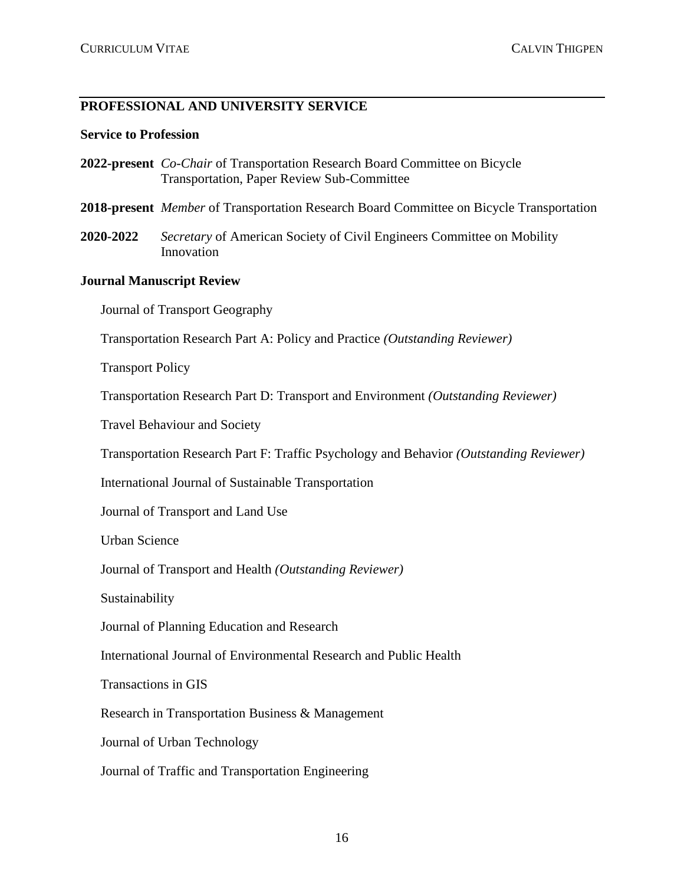### **PROFESSIONAL AND UNIVERSITY SERVICE**

#### **Service to Profession**

- **2022-present** *Co-Chair* of Transportation Research Board Committee on Bicycle Transportation, Paper Review Sub-Committee
- **2018-present** *Member* of Transportation Research Board Committee on Bicycle Transportation
- **2020-2022** *Secretary* of American Society of Civil Engineers Committee on Mobility Innovation

#### **Journal Manuscript Review**

Journal of Transport Geography

Transportation Research Part A: Policy and Practice *(Outstanding Reviewer)*

Transport Policy

Transportation Research Part D: Transport and Environment *(Outstanding Reviewer)*

Travel Behaviour and Society

Transportation Research Part F: Traffic Psychology and Behavior *(Outstanding Reviewer)*

International Journal of Sustainable Transportation

Journal of Transport and Land Use

Urban Science

Journal of Transport and Health *(Outstanding Reviewer)*

Sustainability

Journal of Planning Education and Research

International Journal of Environmental Research and Public Health

Transactions in GIS

Research in Transportation Business & Management

Journal of Urban Technology

Journal of Traffic and Transportation Engineering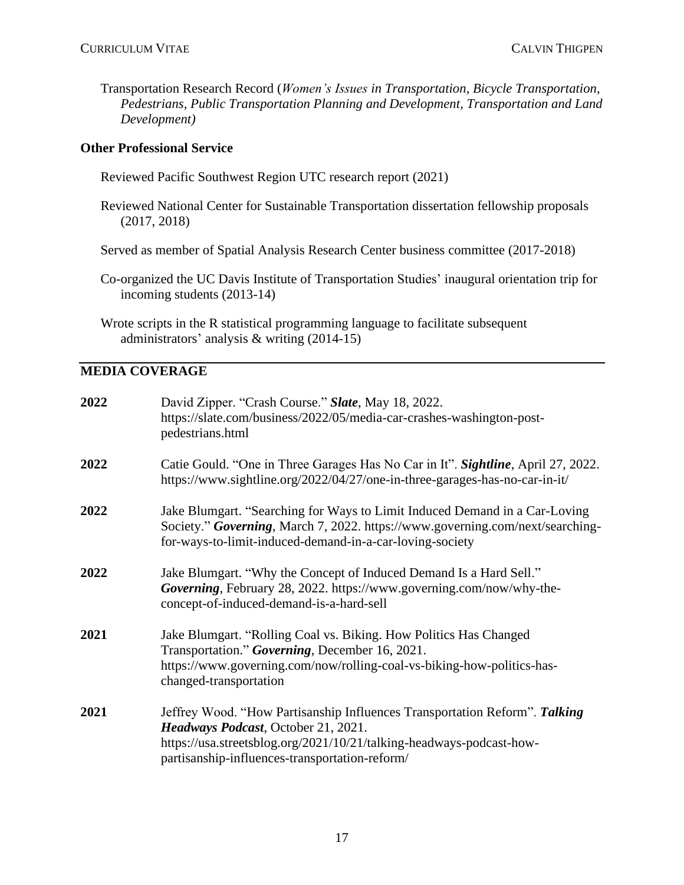Transportation Research Record (*Women's Issues in Transportation, Bicycle Transportation, Pedestrians, Public Transportation Planning and Development, Transportation and Land Development)*

### **Other Professional Service**

- Reviewed Pacific Southwest Region UTC research report (2021)
- Reviewed National Center for Sustainable Transportation dissertation fellowship proposals (2017, 2018)

Served as member of Spatial Analysis Research Center business committee (2017-2018)

Co-organized the UC Davis Institute of Transportation Studies' inaugural orientation trip for incoming students (2013-14)

Wrote scripts in the R statistical programming language to facilitate subsequent administrators' analysis & writing (2014-15)

### **MEDIA COVERAGE**

| 2022 | David Zipper. "Crash Course." Slate, May 18, 2022.<br>https://slate.com/business/2022/05/media-car-crashes-washington-post-<br>pedestrians.html                                                                                             |
|------|---------------------------------------------------------------------------------------------------------------------------------------------------------------------------------------------------------------------------------------------|
| 2022 | Catie Gould. "One in Three Garages Has No Car in It". Sightline, April 27, 2022.<br>https://www.sightline.org/2022/04/27/one-in-three-garages-has-no-car-in-it/                                                                             |
| 2022 | Jake Blumgart. "Searching for Ways to Limit Induced Demand in a Car-Loving<br>Society." Governing, March 7, 2022. https://www.governing.com/next/searching-<br>for-ways-to-limit-induced-demand-in-a-car-loving-society                     |
| 2022 | Jake Blumgart. "Why the Concept of Induced Demand Is a Hard Sell."<br>Governing, February 28, 2022. https://www.governing.com/now/why-the-<br>concept-of-induced-demand-is-a-hard-sell                                                      |
| 2021 | Jake Blumgart. "Rolling Coal vs. Biking. How Politics Has Changed<br>Transportation." Governing, December 16, 2021.<br>https://www.governing.com/now/rolling-coal-vs-biking-how-politics-has-<br>changed-transportation                     |
| 2021 | Jeffrey Wood. "How Partisanship Influences Transportation Reform". Talking<br>Headways Podcast, October 21, 2021.<br>https://usa.streetsblog.org/2021/10/21/talking-headways-podcast-how-<br>partisanship-influences-transportation-reform/ |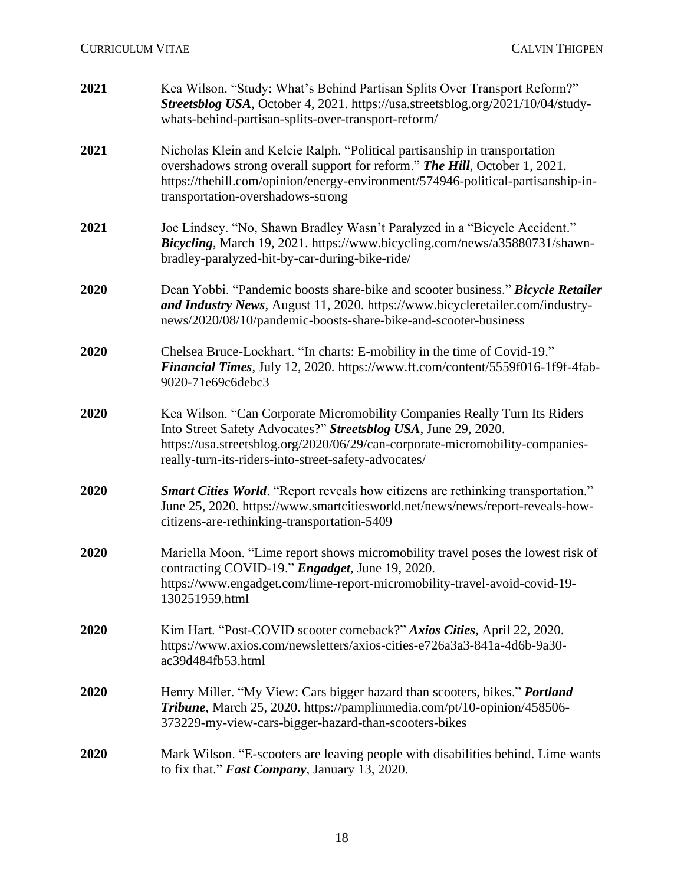| 2021 | Kea Wilson. "Study: What's Behind Partisan Splits Over Transport Reform?"<br>Streetsblog USA, October 4, 2021. https://usa.streetsblog.org/2021/10/04/study-<br>whats-behind-partisan-splits-over-transport-reform/                                                                  |
|------|--------------------------------------------------------------------------------------------------------------------------------------------------------------------------------------------------------------------------------------------------------------------------------------|
| 2021 | Nicholas Klein and Kelcie Ralph. "Political partisanship in transportation<br>overshadows strong overall support for reform." The Hill, October 1, 2021.<br>https://thehill.com/opinion/energy-environment/574946-political-partisanship-in-<br>transportation-overshadows-strong    |
| 2021 | Joe Lindsey. "No, Shawn Bradley Wasn't Paralyzed in a "Bicycle Accident."<br>Bicycling, March 19, 2021. https://www.bicycling.com/news/a35880731/shawn-<br>bradley-paralyzed-hit-by-car-during-bike-ride/                                                                            |
| 2020 | Dean Yobbi. "Pandemic boosts share-bike and scooter business." Bicycle Retailer<br>and Industry News, August 11, 2020. https://www.bicycleretailer.com/industry-<br>news/2020/08/10/pandemic-boosts-share-bike-and-scooter-business                                                  |
| 2020 | Chelsea Bruce-Lockhart. "In charts: E-mobility in the time of Covid-19."<br>Financial Times, July 12, 2020. https://www.ft.com/content/5559f016-1f9f-4fab-<br>9020-71e69c6debc3                                                                                                      |
| 2020 | Kea Wilson. "Can Corporate Micromobility Companies Really Turn Its Riders<br>Into Street Safety Advocates?" Streetsblog USA, June 29, 2020.<br>https://usa.streetsblog.org/2020/06/29/can-corporate-micromobility-companies-<br>really-turn-its-riders-into-street-safety-advocates/ |
| 2020 | <b>Smart Cities World.</b> "Report reveals how citizens are rethinking transportation."<br>June 25, 2020. https://www.smartcitiesworld.net/news/news/report-reveals-how-<br>citizens-are-rethinking-transportation-5409                                                              |
| 2020 | Mariella Moon. "Lime report shows micromobility travel poses the lowest risk of<br>contracting COVID-19." Engadget, June 19, 2020.<br>https://www.engadget.com/lime-report-micromobility-travel-avoid-covid-19-<br>130251959.html                                                    |
| 2020 | Kim Hart. "Post-COVID scooter comeback?" Axios Cities, April 22, 2020.<br>https://www.axios.com/newsletters/axios-cities-e726a3a3-841a-4d6b-9a30-<br>ac39d484fb53.html                                                                                                               |
| 2020 | Henry Miller. "My View: Cars bigger hazard than scooters, bikes." Portland<br>Tribune, March 25, 2020. https://pamplinmedia.com/pt/10-opinion/458506-<br>373229-my-view-cars-bigger-hazard-than-scooters-bikes                                                                       |
| 2020 | Mark Wilson. "E-scooters are leaving people with disabilities behind. Lime wants<br>to fix that." Fast Company, January 13, 2020.                                                                                                                                                    |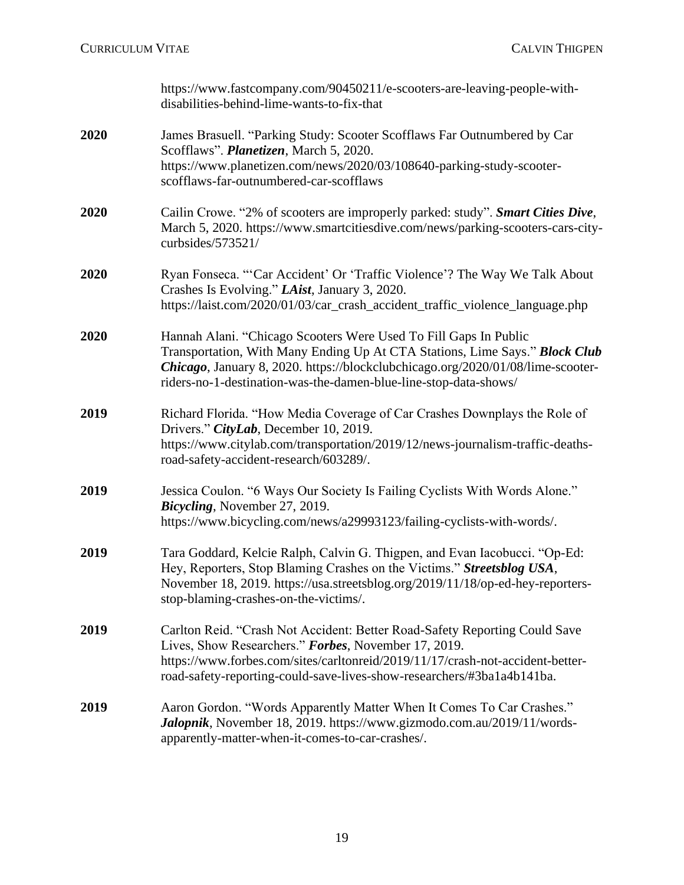[https://www.fastcompany.com/90450211/e-scooters-are-leaving-people-with](https://www.fastcompany.com/90450211/e-scooters-are-leaving-people-with-disabilities-behind-lime-wants-to-fix-that)[disabilities-behind-lime-wants-to-fix-that](https://www.fastcompany.com/90450211/e-scooters-are-leaving-people-with-disabilities-behind-lime-wants-to-fix-that)

### **2020** James Brasuell. "Parking Study: Scooter Scofflaws Far Outnumbered by Car Scofflaws". *Planetizen*, March 5, 2020. https://www.planetizen.com/news/2020/03/108640-parking-study-scooterscofflaws-far-outnumbered-car-scofflaws

- **2020** Cailin Crowe. "2% of scooters are improperly parked: study". *Smart Cities Dive*, March 5, 2020. [https://www.smartcitiesdive.com/news/parking-scooters-cars-city](https://www.smartcitiesdive.com/news/parking-scooters-cars-city-curbsides/573521/)[curbsides/573521/](https://www.smartcitiesdive.com/news/parking-scooters-cars-city-curbsides/573521/)
- **2020** Ryan Fonseca. "'Car Accident' Or 'Traffic Violence'? The Way We Talk About Crashes Is Evolving." *LAist*, January 3, 2020. [https://laist.com/2020/01/03/car\\_crash\\_accident\\_traffic\\_violence\\_language.php](https://laist.com/2020/01/03/car_crash_accident_traffic_violence_language.php)
- **2020** Hannah Alani. "Chicago Scooters Were Used To Fill Gaps In Public Transportation, With Many Ending Up At CTA Stations, Lime Says." *Block Club Chicago*, January 8, 2020. [https://blockclubchicago.org/2020/01/08/lime-scooter](https://blockclubchicago.org/2020/01/08/lime-scooter-riders-no-1-destination-was-the-damen-blue-line-stop-data-shows/)[riders-no-1-destination-was-the-damen-blue-line-stop-data-shows/](https://blockclubchicago.org/2020/01/08/lime-scooter-riders-no-1-destination-was-the-damen-blue-line-stop-data-shows/)
- **2019** Richard Florida. "How Media Coverage of Car Crashes Downplays the Role of Drivers." *CityLab*, December 10, 2019. [https://www.citylab.com/transportation/2019/12/news-journalism-traffic-deaths](https://www.citylab.com/transportation/2019/12/news-journalism-traffic-deaths-road-safety-accident-research/603289/)[road-safety-accident-research/603289/.](https://www.citylab.com/transportation/2019/12/news-journalism-traffic-deaths-road-safety-accident-research/603289/)
- **2019** Jessica Coulon. "6 Ways Our Society Is Failing Cyclists With Words Alone." *Bicycling*, November 27, 2019. [https://www.bicycling.com/news/a29993123/failing-cyclists-with-words/.](https://www.bicycling.com/news/a29993123/failing-cyclists-with-words/)
- **2019** Tara Goddard, Kelcie Ralph, Calvin G. Thigpen, and Evan Iacobucci. "Op-Ed: Hey, Reporters, Stop Blaming Crashes on the Victims." *Streetsblog USA*, November 18, 2019. [https://usa.streetsblog.org/2019/11/18/op-ed-hey-reporters](https://usa.streetsblog.org/2019/11/18/op-ed-hey-reporters-stop-blaming-crashes-on-the-victims/)[stop-blaming-crashes-on-the-victims/.](https://usa.streetsblog.org/2019/11/18/op-ed-hey-reporters-stop-blaming-crashes-on-the-victims/)
- **2019** Carlton Reid. "Crash Not Accident: Better Road-Safety Reporting Could Save Lives, Show Researchers." *Forbes*, November 17, 2019. [https://www.forbes.com/sites/carltonreid/2019/11/17/crash-not-accident-better](https://www.forbes.com/sites/carltonreid/2019/11/17/crash-not-accident-better-road-safety-reporting-could-save-lives-show-researchers/#3ba1a4b141ba)[road-safety-reporting-could-save-lives-show-researchers/#3ba1a4b141ba.](https://www.forbes.com/sites/carltonreid/2019/11/17/crash-not-accident-better-road-safety-reporting-could-save-lives-show-researchers/#3ba1a4b141ba)
- **2019** Aaron Gordon. "Words Apparently Matter When It Comes To Car Crashes." *Jalopnik*, November 18, 2019. [https://www.gizmodo.com.au/2019/11/words](https://www.gizmodo.com.au/2019/11/words-apparently-matter-when-it-comes-to-car-crashes/)[apparently-matter-when-it-comes-to-car-crashes/.](https://www.gizmodo.com.au/2019/11/words-apparently-matter-when-it-comes-to-car-crashes/)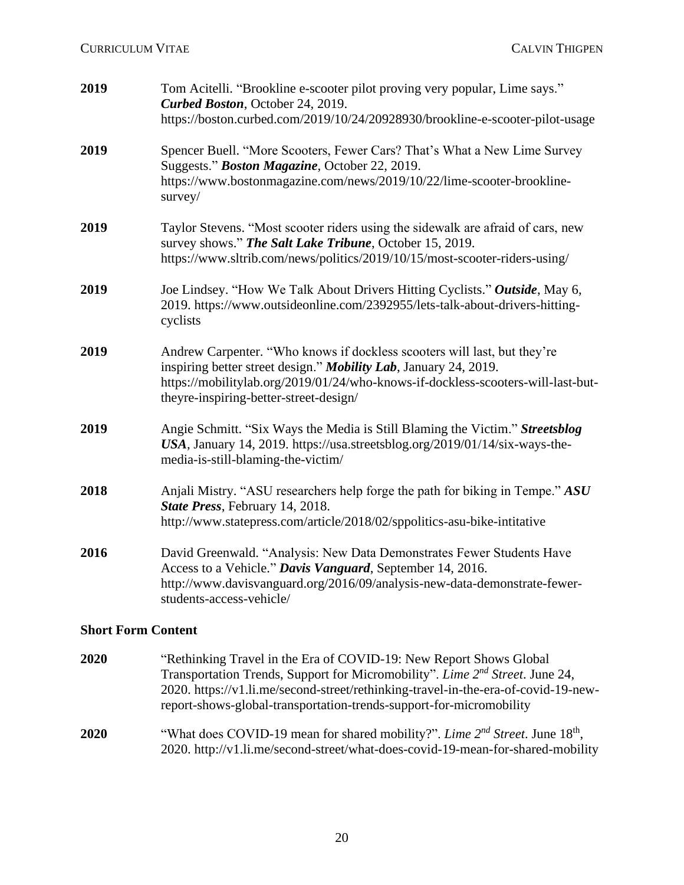| 2019 | Tom Acitelli. "Brookline e-scooter pilot proving very popular, Lime says."<br>Curbed Boston, October 24, 2019.                                                                                                                                                             |
|------|----------------------------------------------------------------------------------------------------------------------------------------------------------------------------------------------------------------------------------------------------------------------------|
|      | https://boston.curbed.com/2019/10/24/20928930/brookline-e-scooter-pilot-usage                                                                                                                                                                                              |
| 2019 | Spencer Buell. "More Scooters, Fewer Cars? That's What a New Lime Survey<br>Suggests." Boston Magazine, October 22, 2019.                                                                                                                                                  |
|      | https://www.bostonmagazine.com/news/2019/10/22/lime-scooter-brookline-<br>survey/                                                                                                                                                                                          |
| 2019 | Taylor Stevens. "Most scooter riders using the sidewalk are afraid of cars, new<br>survey shows." The Salt Lake Tribune, October 15, 2019.                                                                                                                                 |
|      | https://www.sltrib.com/news/politics/2019/10/15/most-scooter-riders-using/                                                                                                                                                                                                 |
| 2019 | Joe Lindsey. "How We Talk About Drivers Hitting Cyclists." Outside, May 6,<br>2019. https://www.outsideonline.com/2392955/lets-talk-about-drivers-hitting-<br>cyclists                                                                                                     |
| 2019 | Andrew Carpenter. "Who knows if dockless scooters will last, but they're<br>inspiring better street design." Mobility Lab, January 24, 2019.<br>https://mobilitylab.org/2019/01/24/who-knows-if-dockless-scooters-will-last-but-<br>theyre-inspiring-better-street-design/ |
| 2019 | Angie Schmitt. "Six Ways the Media is Still Blaming the Victim." Streetsblog<br>USA, January 14, 2019. https://usa.streetsblog.org/2019/01/14/six-ways-the-<br>media-is-still-blaming-the-victim/                                                                          |
| 2018 | Anjali Mistry. "ASU researchers help forge the path for biking in Tempe." ASU<br>State Press, February 14, 2018.<br>http://www.statepress.com/article/2018/02/sppolitics-asu-bike-intitative                                                                               |
|      |                                                                                                                                                                                                                                                                            |
| 2016 | David Greenwald. "Analysis: New Data Demonstrates Fewer Students Have<br>Access to a Vehicle." Davis Vanguard, September 14, 2016.                                                                                                                                         |
|      | http://www.davisvanguard.org/2016/09/analysis-new-data-demonstrate-fewer-<br>students-access-vehicle/                                                                                                                                                                      |

### **Short Form Content**

- **2020** "Rethinking Travel in the Era of COVID-19: New Report Shows Global Transportation Trends, Support for Micromobility". *Lime 2nd Street*. June 24, 2020. https://v1.li.me/second-street/rethinking-travel-in-the-era-of-covid-19-newreport-shows-global-transportation-trends-support-for-micromobility
- **2020** "What does COVID-19 mean for shared mobility?". *Lime 2<sup>nd</sup> Street*. June 18<sup>th</sup>, 2020. http://v1.li.me/second-street/what-does-covid-19-mean-for-shared-mobility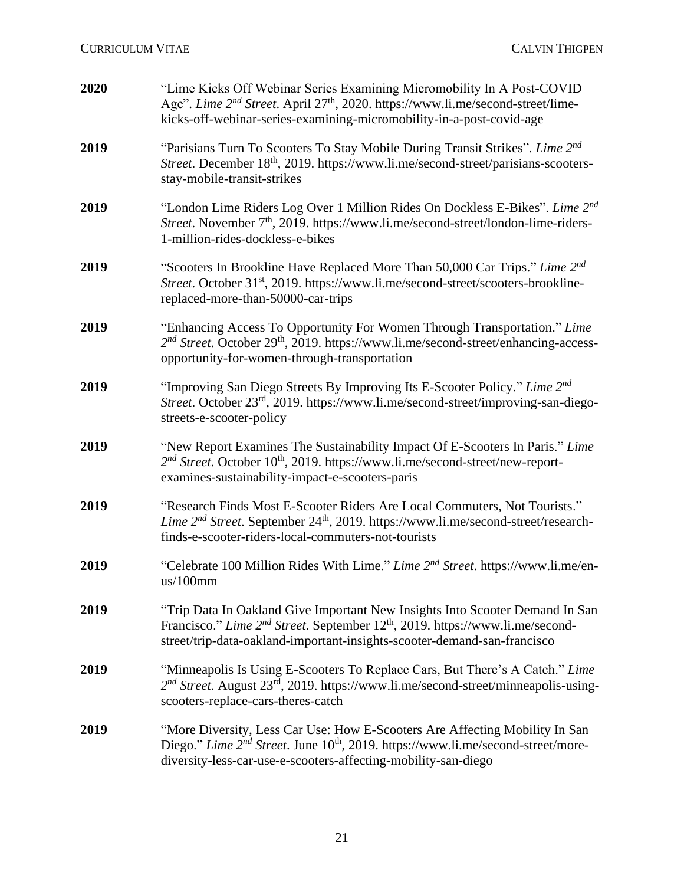| 2020 | "Lime Kicks Off Webinar Series Examining Micromobility In A Post-COVID<br>Age". Lime 2 <sup>nd</sup> Street. April 27 <sup>th</sup> , 2020. https://www.li.me/second-street/lime-<br>kicks-off-webinar-series-examining-micromobility-in-a-post-covid-age         |
|------|-------------------------------------------------------------------------------------------------------------------------------------------------------------------------------------------------------------------------------------------------------------------|
| 2019 | "Parisians Turn To Scooters To Stay Mobile During Transit Strikes". Lime 2nd<br>Street. December 18 <sup>th</sup> , 2019. https://www.li.me/second-street/parisians-scooters-<br>stay-mobile-transit-strikes                                                      |
| 2019 | "London Lime Riders Log Over 1 Million Rides On Dockless E-Bikes". Lime 2nd<br>Street. November 7 <sup>th</sup> , 2019. https://www.li.me/second-street/london-lime-riders-<br>1-million-rides-dockless-e-bikes                                                   |
| 2019 | "Scooters In Brookline Have Replaced More Than 50,000 Car Trips." Lime 2 <sup>nd</sup><br>Street. October 31 <sup>st</sup> , 2019. https://www.li.me/second-street/scooters-brookline-<br>replaced-more-than-50000-car-trips                                      |
| 2019 | "Enhancing Access To Opportunity For Women Through Transportation." Lime<br>2 <sup>nd</sup> Street. October 29 <sup>th</sup> , 2019. https://www.li.me/second-street/enhancing-access-<br>opportunity-for-women-through-transportation                            |
| 2019 | "Improving San Diego Streets By Improving Its E-Scooter Policy." Lime 2nd<br>Street. October 23 <sup>rd</sup> , 2019. https://www.li.me/second-street/improving-san-diego-<br>streets-e-scooter-policy                                                            |
| 2019 | "New Report Examines The Sustainability Impact Of E-Scooters In Paris." Lime<br>2 <sup>nd</sup> Street. October 10 <sup>th</sup> , 2019. https://www.li.me/second-street/new-report-<br>examines-sustainability-impact-e-scooters-paris                           |
| 2019 | "Research Finds Most E-Scooter Riders Are Local Commuters, Not Tourists."<br>Lime 2 <sup>nd</sup> Street. September 24 <sup>th</sup> , 2019. https://www.li.me/second-street/research-<br>finds-e-scooter-riders-local-commuters-not-tourists                     |
| 2019 | "Celebrate 100 Million Rides With Lime." Lime 2 <sup>nd</sup> Street. https://www.li.me/en-<br>us/100mm                                                                                                                                                           |
| 2019 | "Trip Data In Oakland Give Important New Insights Into Scooter Demand In San<br>Francisco." Lime 2 <sup>nd</sup> Street. September 12 <sup>th</sup> , 2019. https://www.li.me/second-<br>street/trip-data-oakland-important-insights-scooter-demand-san-francisco |
| 2019 | "Minneapolis Is Using E-Scooters To Replace Cars, But There's A Catch." Lime<br>2 <sup>nd</sup> Street. August 23 <sup>rd</sup> , 2019. https://www.li.me/second-street/minneapolis-using-<br>scooters-replace-cars-theres-catch                                  |
| 2019 | "More Diversity, Less Car Use: How E-Scooters Are Affecting Mobility In San<br>Diego." Lime 2 <sup>nd</sup> Street. June 10 <sup>th</sup> , 2019. https://www.li.me/second-street/more-<br>diversity-less-car-use-e-scooters-affecting-mobility-san-diego         |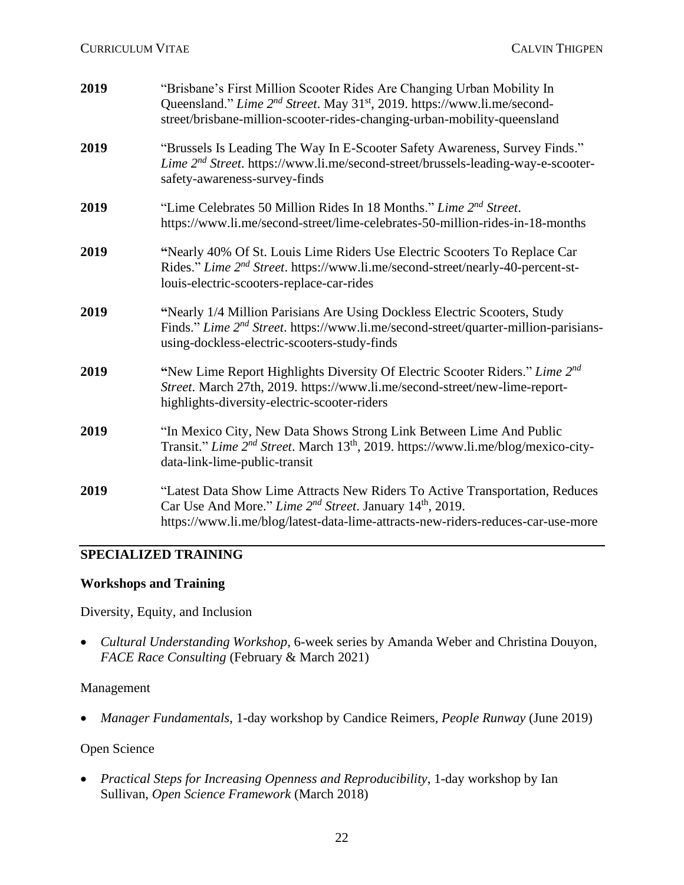| 2019 | "Brisbane's First Million Scooter Rides Are Changing Urban Mobility In<br>Queensland." Lime 2 <sup>nd</sup> Street. May 31 <sup>st</sup> , 2019. https://www.li.me/second-<br>street/brisbane-million-scooter-rides-changing-urban-mobility-queensland |
|------|--------------------------------------------------------------------------------------------------------------------------------------------------------------------------------------------------------------------------------------------------------|
| 2019 | "Brussels Is Leading The Way In E-Scooter Safety Awareness, Survey Finds."<br><i>Lime 2<sup>nd</sup> Street.</i> https://www.li.me/second-street/brussels-leading-way-e-scooter-<br>safety-awareness-survey-finds                                      |
| 2019 | "Lime Celebrates 50 Million Rides In 18 Months." Lime 2 <sup>nd</sup> Street.<br>https://www.li.me/second-street/lime-celebrates-50-million-rides-in-18-months                                                                                         |
| 2019 | "Nearly 40% Of St. Louis Lime Riders Use Electric Scooters To Replace Car<br>Rides." Lime 2 <sup>nd</sup> Street. https://www.li.me/second-street/nearly-40-percent-st-<br>louis-electric-scooters-replace-car-rides                                   |
| 2019 | "Nearly 1/4 Million Parisians Are Using Dockless Electric Scooters, Study<br>Finds." Lime 2 <sup>nd</sup> Street. https://www.li.me/second-street/quarter-million-parisians-<br>using-dockless-electric-scooters-study-finds                           |
| 2019 | "New Lime Report Highlights Diversity Of Electric Scooter Riders." Lime 2nd<br>Street. March 27th, 2019. https://www.li.me/second-street/new-lime-report-<br>highlights-diversity-electric-scooter-riders                                              |
| 2019 | "In Mexico City, New Data Shows Strong Link Between Lime And Public<br>Transit." Lime 2 <sup>nd</sup> Street. March 13 <sup>th</sup> , 2019. https://www.li.me/blog/mexico-city-<br>data-link-lime-public-transit                                      |
| 2019 | "Latest Data Show Lime Attracts New Riders To Active Transportation, Reduces<br>Car Use And More." Lime 2 <sup>nd</sup> Street. January 14 <sup>th</sup> , 2019.<br>https://www.li.me/blog/latest-data-lime-attracts-new-riders-reduces-car-use-more   |

### **SPECIALIZED TRAINING**

#### **Workshops and Training**

Diversity, Equity, and Inclusion

• *Cultural Understanding Workshop*, 6-week series by Amanda Weber and Christina Douyon, *FACE Race Consulting* (February & March 2021)

#### Management

• *Manager Fundamentals*, 1-day workshop by Candice Reimers, *People Runway* (June 2019)

### Open Science

• *Practical Steps for Increasing Openness and Reproducibility*, 1-day workshop by Ian Sullivan, *Open Science Framework* (March 2018)